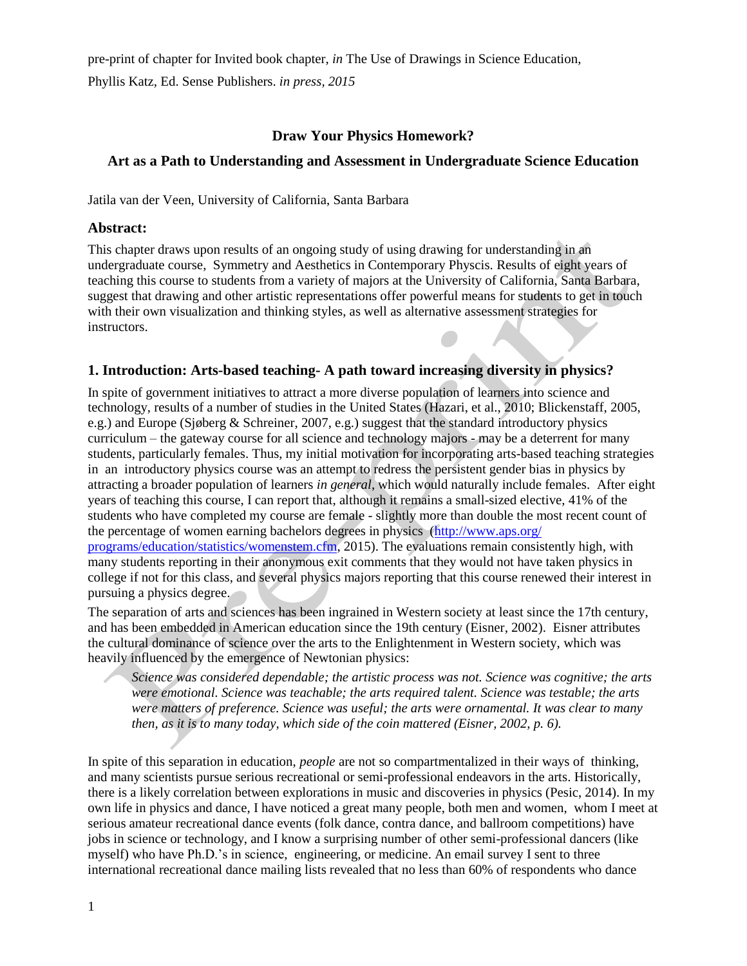Phyllis Katz, Ed. Sense Publishers. *in press, 2015*

# **Draw Your Physics Homework?**

# **Art as a Path to Understanding and Assessment in Undergraduate Science Education**

Jatila van der Veen, University of California, Santa Barbara

### **Abstract:**

This chapter draws upon results of an ongoing study of using drawing for understanding in an undergraduate course, Symmetry and Aesthetics in Contemporary Physcis. Results of eight years of teaching this course to students from a variety of majors at the University of California, Santa Barbara, suggest that drawing and other artistic representations offer powerful means for students to get in touch with their own visualization and thinking styles, as well as alternative assessment strategies for instructors.

# **1. Introduction: Arts-based teaching- A path toward increasing diversity in physics?**

In spite of government initiatives to attract a more diverse population of learners into science and technology, results of a number of studies in the United States (Hazari, et al., 2010; Blickenstaff, 2005, e.g.) and Europe (Sjøberg & Schreiner, 2007, e.g.) suggest that the standard introductory physics curriculum – the gateway course for all science and technology majors - may be a deterrent for many students, particularly females. Thus, my initial motivation for incorporating arts-based teaching strategies in an introductory physics course was an attempt to redress the persistent gender bias in physics by attracting a broader population of learners *in general*, which would naturally include females. After eight years of teaching this course, I can report that, although it remains a small-sized elective, 41% of the students who have completed my course are female - slightly more than double the most recent count of the percentage of women earning bachelors degrees in physics [\(http://www.aps.org/](http://www.aps.org/%20programs/education/statistics/womenstem.cfm)  [programs/education/statistics/womenstem.cfm,](http://www.aps.org/%20programs/education/statistics/womenstem.cfm) 2015). The evaluations remain consistently high, with many students reporting in their anonymous exit comments that they would not have taken physics in college if not for this class, and several physics majors reporting that this course renewed their interest in pursuing a physics degree.

The separation of arts and sciences has been ingrained in Western society at least since the 17th century, and has been embedded in American education since the 19th century (Eisner, 2002). Eisner attributes the cultural dominance of science over the arts to the Enlightenment in Western society, which was heavily influenced by the emergence of Newtonian physics:

*Science was considered dependable; the artistic process was not. Science was cognitive; the arts were emotional. Science was teachable; the arts required talent. Science was testable; the arts were matters of preference. Science was useful; the arts were ornamental. It was clear to many then, as it is to many today, which side of the coin mattered (Eisner, 2002, p. 6).*

In spite of this separation in education, *people* are not so compartmentalized in their ways of thinking, and many scientists pursue serious recreational or semi-professional endeavors in the arts. Historically, there is a likely correlation between explorations in music and discoveries in physics (Pesic, 2014). In my own life in physics and dance, I have noticed a great many people, both men and women, whom I meet at serious amateur recreational dance events (folk dance, contra dance, and ballroom competitions) have jobs in science or technology, and I know a surprising number of other semi-professional dancers (like myself) who have Ph.D.'s in science, engineering, or medicine. An email survey I sent to three international recreational dance mailing lists revealed that no less than 60% of respondents who dance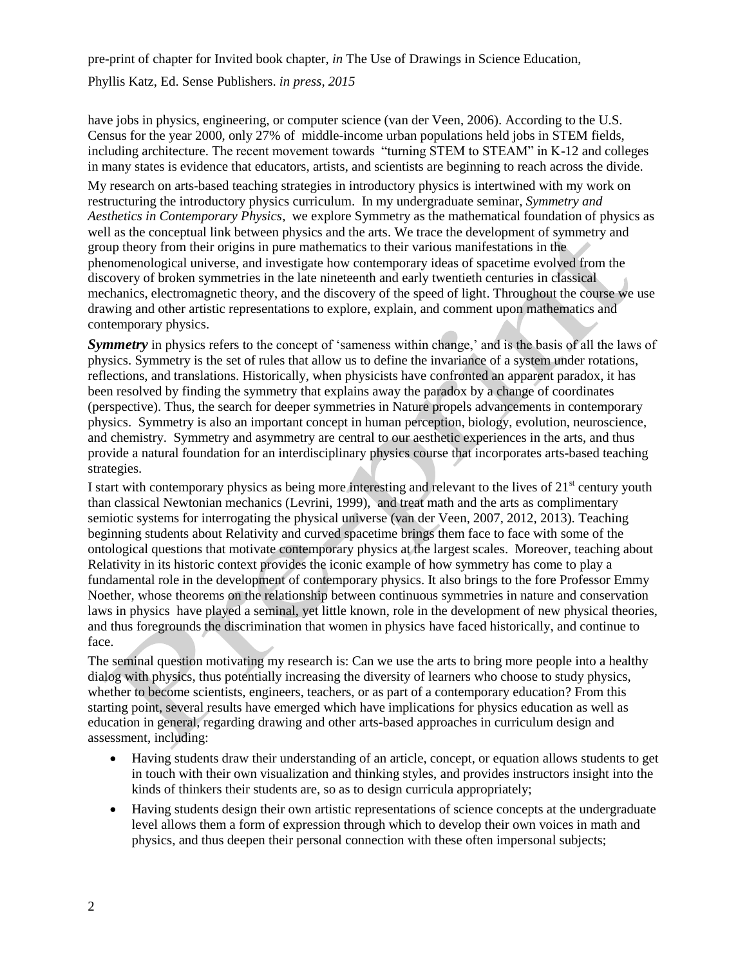Phyllis Katz, Ed. Sense Publishers. *in press, 2015*

have jobs in physics, engineering, or computer science (van der Veen, 2006). According to the U.S. Census for the year 2000, only 27% of middle-income urban populations held jobs in STEM fields, including architecture. The recent movement towards "turning STEM to STEAM" in K-12 and colleges in many states is evidence that educators, artists, and scientists are beginning to reach across the divide.

My research on arts-based teaching strategies in introductory physics is intertwined with my work on restructuring the introductory physics curriculum. In my undergraduate seminar, *Symmetry and Aesthetics in Contemporary Physics*, we explore Symmetry as the mathematical foundation of physics as well as the conceptual link between physics and the arts. We trace the development of symmetry and group theory from their origins in pure mathematics to their various manifestations in the phenomenological universe, and investigate how contemporary ideas of spacetime evolved from the discovery of broken symmetries in the late nineteenth and early twentieth centuries in classical mechanics, electromagnetic theory, and the discovery of the speed of light. Throughout the course we use drawing and other artistic representations to explore, explain, and comment upon mathematics and contemporary physics.

**Symmetry** in physics refers to the concept of 'sameness within change,' and is the basis of all the laws of physics. Symmetry is the set of rules that allow us to define the invariance of a system under rotations, reflections, and translations. Historically, when physicists have confronted an apparent paradox, it has been resolved by finding the symmetry that explains away the paradox by a change of coordinates (perspective). Thus, the search for deeper symmetries in Nature propels advancements in contemporary physics. Symmetry is also an important concept in human perception, biology, evolution, neuroscience, and chemistry. Symmetry and asymmetry are central to our aesthetic experiences in the arts, and thus provide a natural foundation for an interdisciplinary physics course that incorporates arts-based teaching strategies.

I start with contemporary physics as being more interesting and relevant to the lives of  $21<sup>st</sup>$  century youth than classical Newtonian mechanics (Levrini, 1999), and treat math and the arts as complimentary semiotic systems for interrogating the physical universe (van der Veen, 2007, 2012, 2013). Teaching beginning students about Relativity and curved spacetime brings them face to face with some of the ontological questions that motivate contemporary physics at the largest scales. Moreover, teaching about Relativity in its historic context provides the iconic example of how symmetry has come to play a fundamental role in the development of contemporary physics. It also brings to the fore Professor Emmy Noether, whose theorems on the relationship between continuous symmetries in nature and conservation laws in physics have played a seminal, yet little known, role in the development of new physical theories, and thus foregrounds the discrimination that women in physics have faced historically, and continue to face.

The seminal question motivating my research is: Can we use the arts to bring more people into a healthy dialog with physics, thus potentially increasing the diversity of learners who choose to study physics, whether to become scientists, engineers, teachers, or as part of a contemporary education? From this starting point, several results have emerged which have implications for physics education as well as education in general, regarding drawing and other arts-based approaches in curriculum design and assessment, including:

- Having students draw their understanding of an article, concept, or equation allows students to get in touch with their own visualization and thinking styles, and provides instructors insight into the kinds of thinkers their students are, so as to design curricula appropriately;
- Having students design their own artistic representations of science concepts at the undergraduate level allows them a form of expression through which to develop their own voices in math and physics, and thus deepen their personal connection with these often impersonal subjects;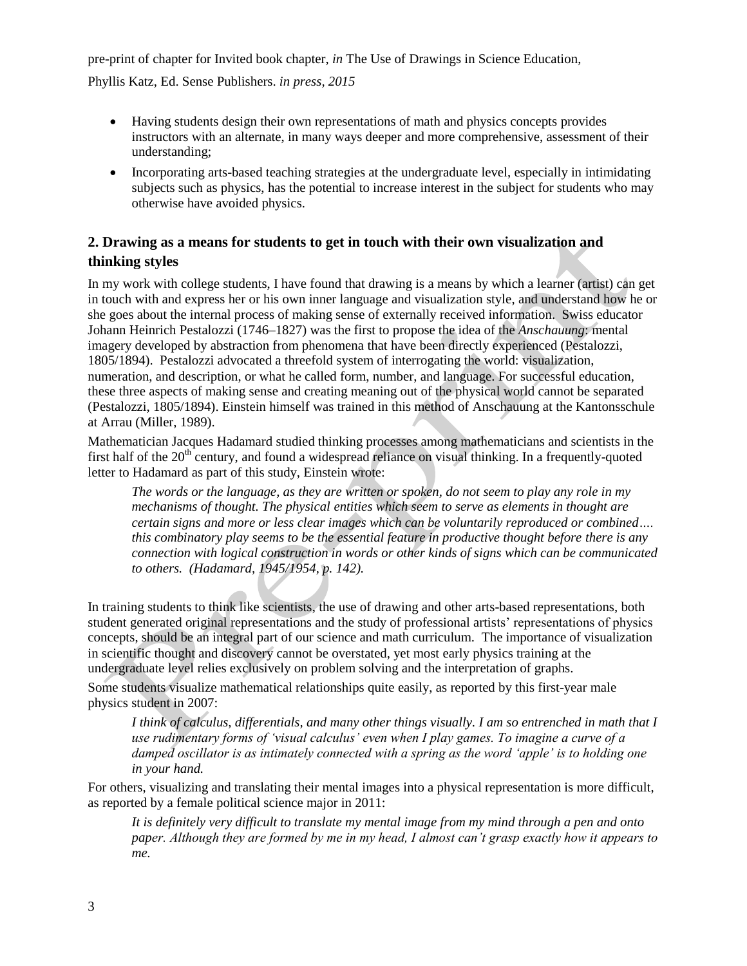Phyllis Katz, Ed. Sense Publishers. *in press, 2015*

- Having students design their own representations of math and physics concepts provides instructors with an alternate, in many ways deeper and more comprehensive, assessment of their understanding;
- Incorporating arts-based teaching strategies at the undergraduate level, especially in intimidating subjects such as physics, has the potential to increase interest in the subject for students who may otherwise have avoided physics.

# **2. Drawing as a means for students to get in touch with their own visualization and thinking styles**

In my work with college students, I have found that drawing is a means by which a learner (artist) can get in touch with and express her or his own inner language and visualization style, and understand how he or she goes about the internal process of making sense of externally received information. Swiss educator Johann Heinrich Pestalozzi (1746–1827) was the first to propose the idea of the *Anschauung*: mental imagery developed by abstraction from phenomena that have been directly experienced (Pestalozzi, 1805/1894). Pestalozzi advocated a threefold system of interrogating the world: visualization, numeration, and description, or what he called form, number, and language. For successful education, these three aspects of making sense and creating meaning out of the physical world cannot be separated (Pestalozzi, 1805/1894). Einstein himself was trained in this method of Anschauung at the Kantonsschule at Arrau (Miller, 1989).

Mathematician Jacques Hadamard studied thinking processes among mathematicians and scientists in the first half of the  $20<sup>th</sup>$  century, and found a widespread reliance on visual thinking. In a frequently-quoted letter to Hadamard as part of this study, Einstein wrote:

*The words or the language, as they are written or spoken, do not seem to play any role in my mechanisms of thought. The physical entities which seem to serve as elements in thought are certain signs and more or less clear images which can be voluntarily reproduced or combined…. this combinatory play seems to be the essential feature in productive thought before there is any connection with logical construction in words or other kinds of signs which can be communicated to others. (Hadamard, 1945/1954, p. 142).*

In training students to think like scientists, the use of drawing and other arts-based representations, both student generated original representations and the study of professional artists' representations of physics concepts, should be an integral part of our science and math curriculum. The importance of visualization in scientific thought and discovery cannot be overstated, yet most early physics training at the undergraduate level relies exclusively on problem solving and the interpretation of graphs.

Some students visualize mathematical relationships quite easily, as reported by this first-year male physics student in 2007:

*I think of calculus, differentials, and many other things visually. I am so entrenched in math that I use rudimentary forms of "visual calculus" even when I play games. To imagine a curve of a damped oscillator is as intimately connected with a spring as the word "apple" is to holding one in your hand.*

For others, visualizing and translating their mental images into a physical representation is more difficult, as reported by a female political science major in 2011:

*It is definitely very difficult to translate my mental image from my mind through a pen and onto paper. Although they are formed by me in my head, I almost can"t grasp exactly how it appears to me.*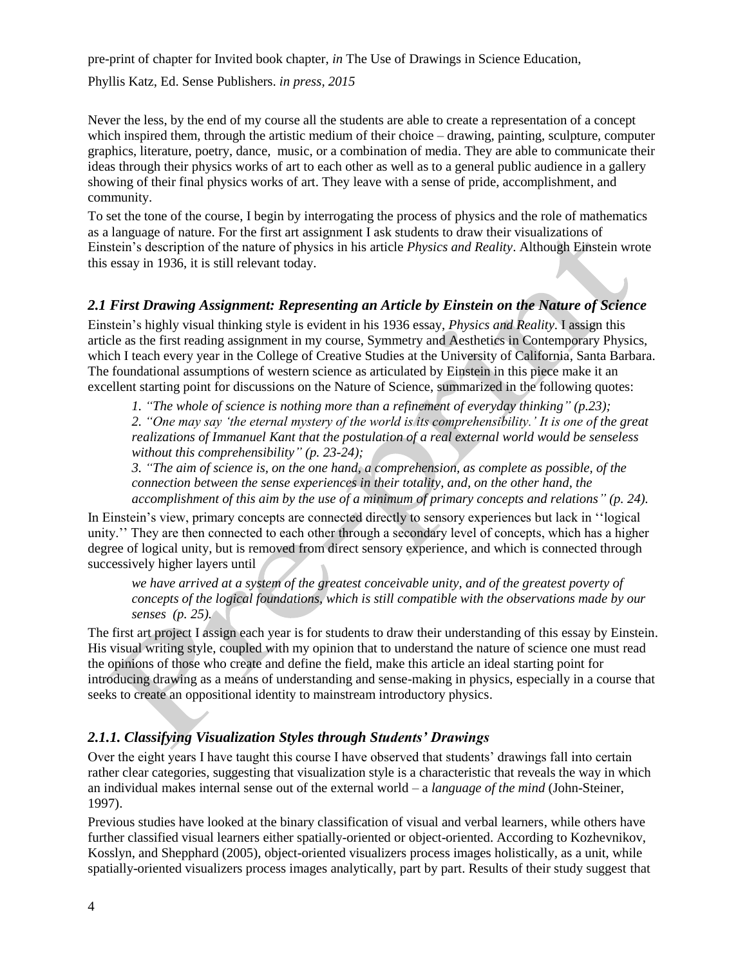Phyllis Katz, Ed. Sense Publishers. *in press, 2015*

Never the less, by the end of my course all the students are able to create a representation of a concept which inspired them, through the artistic medium of their choice – drawing, painting, sculpture, computer graphics, literature, poetry, dance, music, or a combination of media. They are able to communicate their ideas through their physics works of art to each other as well as to a general public audience in a gallery showing of their final physics works of art. They leave with a sense of pride, accomplishment, and community.

To set the tone of the course, I begin by interrogating the process of physics and the role of mathematics as a language of nature. For the first art assignment I ask students to draw their visualizations of Einstein's description of the nature of physics in his article *Physics and Reality*. Although Einstein wrote this essay in 1936, it is still relevant today.

# *2.1 First Drawing Assignment: Representing an Article by Einstein on the Nature of Science*

Einstein's highly visual thinking style is evident in his 1936 essay, *Physics and Reality.* I assign this article as the first reading assignment in my course, Symmetry and Aesthetics in Contemporary Physics, which I teach every year in the College of Creative Studies at the University of California, Santa Barbara. The foundational assumptions of western science as articulated by Einstein in this piece make it an excellent starting point for discussions on the Nature of Science, summarized in the following quotes:

*1. "The whole of science is nothing more than a refinement of everyday thinking" (p.23);*

*2. "One may say "the eternal mystery of the world is its comprehensibility." It is one of the great realizations of Immanuel Kant that the postulation of a real external world would be senseless without this comprehensibility" (p. 23-24);*

*3. "The aim of science is, on the one hand, a comprehension, as complete as possible, of the connection between the sense experiences in their totality, and, on the other hand, the accomplishment of this aim by the use of a minimum of primary concepts and relations" (p. 24).*

In Einstein's view, primary concepts are connected directly to sensory experiences but lack in "logical" unity.'' They are then connected to each other through a secondary level of concepts, which has a higher degree of logical unity, but is removed from direct sensory experience, and which is connected through successively higher layers until

*we have arrived at a system of the greatest conceivable unity, and of the greatest poverty of concepts of the logical foundations, which is still compatible with the observations made by our senses (p. 25).* 

The first art project I assign each year is for students to draw their understanding of this essay by Einstein. His visual writing style, coupled with my opinion that to understand the nature of science one must read the opinions of those who create and define the field, make this article an ideal starting point for introducing drawing as a means of understanding and sense-making in physics, especially in a course that seeks to create an oppositional identity to mainstream introductory physics.

# *2.1.1. Classifying Visualization Styles through Students' Drawings*

Over the eight years I have taught this course I have observed that students' drawings fall into certain rather clear categories, suggesting that visualization style is a characteristic that reveals the way in which an individual makes internal sense out of the external world – a *language of the mind* (John-Steiner, 1997).

Previous studies have looked at the binary classification of visual and verbal learners, while others have further classified visual learners either spatially-oriented or object-oriented. According to Kozhevnikov, Kosslyn, and Shepphard (2005), object-oriented visualizers process images holistically, as a unit, while spatially-oriented visualizers process images analytically, part by part. Results of their study suggest that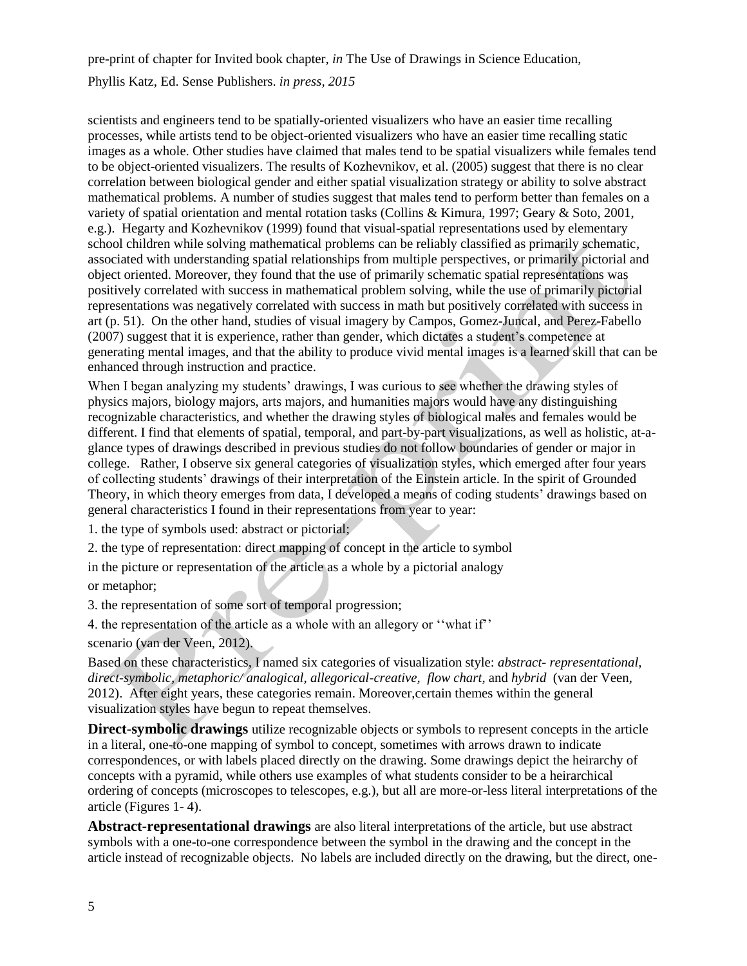Phyllis Katz, Ed. Sense Publishers. *in press, 2015*

scientists and engineers tend to be spatially-oriented visualizers who have an easier time recalling processes, while artists tend to be object-oriented visualizers who have an easier time recalling static images as a whole. Other studies have claimed that males tend to be spatial visualizers while females tend to be object-oriented visualizers. The results of Kozhevnikov, et al. (2005) suggest that there is no clear correlation between biological gender and either spatial visualization strategy or ability to solve abstract mathematical problems. A number of studies suggest that males tend to perform better than females on a variety of spatial orientation and mental rotation tasks (Collins & Kimura, 1997; Geary & Soto, 2001, e.g.). Hegarty and Kozhevnikov (1999) found that visual-spatial representations used by elementary school children while solving mathematical problems can be reliably classified as primarily schematic, associated with understanding spatial relationships from multiple perspectives, or primarily pictorial and object oriented. Moreover, they found that the use of primarily schematic spatial representations was positively correlated with success in mathematical problem solving, while the use of primarily pictorial representations was negatively correlated with success in math but positively correlated with success in art (p. 51). On the other hand, studies of visual imagery by Campos, Gomez-Juncal, and Perez-Fabello (2007) suggest that it is experience, rather than gender, which dictates a student's competence at generating mental images, and that the ability to produce vivid mental images is a learned skill that can be enhanced through instruction and practice.

When I began analyzing my students' drawings, I was curious to see whether the drawing styles of physics majors, biology majors, arts majors, and humanities majors would have any distinguishing recognizable characteristics, and whether the drawing styles of biological males and females would be different. I find that elements of spatial, temporal, and part-by-part visualizations, as well as holistic, at-aglance types of drawings described in previous studies do not follow boundaries of gender or major in college. Rather, I observe six general categories of visualization styles, which emerged after four years of collecting students' drawings of their interpretation of the Einstein article. In the spirit of Grounded Theory, in which theory emerges from data, I developed a means of coding students' drawings based on general characteristics I found in their representations from year to year:

1. the type of symbols used: abstract or pictorial;

2. the type of representation: direct mapping of concept in the article to symbol

in the picture or representation of the article as a whole by a pictorial analogy

or metaphor;

3. the representation of some sort of temporal progression;

4. the representation of the article as a whole with an allegory or "what if"

scenario (van der Veen, 2012).

Based on these characteristics, I named six categories of visualization style: *abstract- representational, direct-symbolic, metaphoric/ analogical, allegorical-creative, flow chart*, and *hybrid* (van der Veen, 2012). After eight years, these categories remain. Moreover,certain themes within the general visualization styles have begun to repeat themselves.

**Direct-symbolic drawings** utilize recognizable objects or symbols to represent concepts in the article in a literal, one-to-one mapping of symbol to concept, sometimes with arrows drawn to indicate correspondences, or with labels placed directly on the drawing. Some drawings depict the heirarchy of concepts with a pyramid, while others use examples of what students consider to be a heirarchical ordering of concepts (microscopes to telescopes, e.g.), but all are more-or-less literal interpretations of the article (Figures 1- 4).

**Abstract-representational drawings** are also literal interpretations of the article, but use abstract symbols with a one-to-one correspondence between the symbol in the drawing and the concept in the article instead of recognizable objects. No labels are included directly on the drawing, but the direct, one-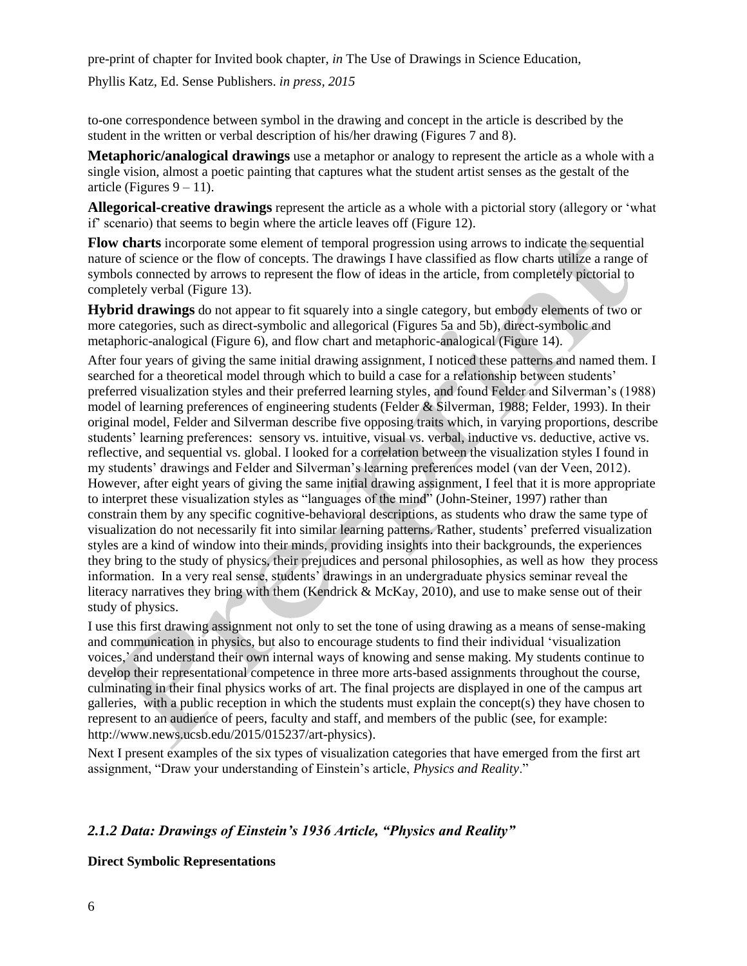Phyllis Katz, Ed. Sense Publishers. *in press, 2015*

to-one correspondence between symbol in the drawing and concept in the article is described by the student in the written or verbal description of his/her drawing (Figures 7 and 8).

**Metaphoric/analogical drawings** use a metaphor or analogy to represent the article as a whole with a single vision, almost a poetic painting that captures what the student artist senses as the gestalt of the article (Figures  $9 - 11$ ).

Allegorical-creative drawings represent the article as a whole with a pictorial story (allegory or 'what if' scenario) that seems to begin where the article leaves off (Figure 12).

**Flow charts** incorporate some element of temporal progression using arrows to indicate the sequential nature of science or the flow of concepts. The drawings I have classified as flow charts utilize a range of symbols connected by arrows to represent the flow of ideas in the article, from completely pictorial to completely verbal (Figure 13).

**Hybrid drawings** do not appear to fit squarely into a single category, but embody elements of two or more categories, such as direct-symbolic and allegorical (Figures 5a and 5b), direct-symbolic and metaphoric-analogical (Figure 6), and flow chart and metaphoric-analogical (Figure 14).

After four years of giving the same initial drawing assignment, I noticed these patterns and named them. I searched for a theoretical model through which to build a case for a relationship between students' preferred visualization styles and their preferred learning styles, and found Felder and Silverman's (1988) model of learning preferences of engineering students (Felder & Silverman, 1988; Felder, 1993). In their original model, Felder and Silverman describe five opposing traits which, in varying proportions, describe students' learning preferences: sensory vs. intuitive, visual vs. verbal, inductive vs. deductive, active vs. reflective, and sequential vs. global. I looked for a correlation between the visualization styles I found in my students' drawings and Felder and Silverman's learning preferences model (van der Veen, 2012). However, after eight years of giving the same initial drawing assignment, I feel that it is more appropriate to interpret these visualization styles as "languages of the mind" (John-Steiner, 1997) rather than constrain them by any specific cognitive-behavioral descriptions, as students who draw the same type of visualization do not necessarily fit into similar learning patterns. Rather, students' preferred visualization styles are a kind of window into their minds, providing insights into their backgrounds, the experiences they bring to the study of physics, their prejudices and personal philosophies, as well as how they process information. In a very real sense, students' drawings in an undergraduate physics seminar reveal the literacy narratives they bring with them (Kendrick & McKay, 2010), and use to make sense out of their study of physics.

I use this first drawing assignment not only to set the tone of using drawing as a means of sense-making and communication in physics, but also to encourage students to find their individual 'visualization voices,' and understand their own internal ways of knowing and sense making. My students continue to develop their representational competence in three more arts-based assignments throughout the course, culminating in their final physics works of art. The final projects are displayed in one of the campus art galleries, with a public reception in which the students must explain the concept(s) they have chosen to represent to an audience of peers, faculty and staff, and members of the public (see, for example: http://www.news.ucsb.edu/2015/015237/art-physics).

Next I present examples of the six types of visualization categories that have emerged from the first art assignment, "Draw your understanding of Einstein's article, *Physics and Reality*."

# *2.1.2 Data: Drawings of Einstein's 1936 Article, "Physics and Reality"*

**Direct Symbolic Representations**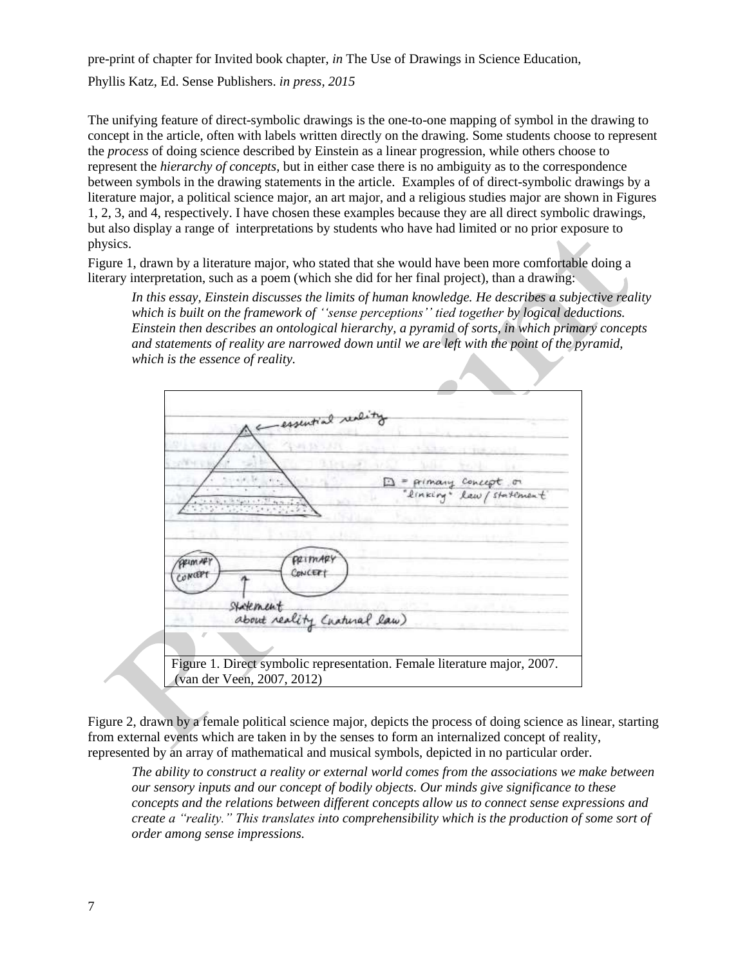Phyllis Katz, Ed. Sense Publishers. *in press, 2015*

The unifying feature of direct-symbolic drawings is the one-to-one mapping of symbol in the drawing to concept in the article, often with labels written directly on the drawing. Some students choose to represent the *process* of doing science described by Einstein as a linear progression, while others choose to represent the *hierarchy of concepts*, but in either case there is no ambiguity as to the correspondence between symbols in the drawing statements in the article. Examples of of direct-symbolic drawings by a literature major, a political science major, an art major, and a religious studies major are shown in Figures 1, 2, 3, and 4, respectively. I have chosen these examples because they are all direct symbolic drawings, but also display a range of interpretations by students who have had limited or no prior exposure to physics.

Figure 1, drawn by a literature major, who stated that she would have been more comfortable doing a literary interpretation, such as a poem (which she did for her final project), than a drawing:

*In this essay, Einstein discusses the limits of human knowledge. He describes a subjective reality which is built on the framework of ""sense perceptions"" tied together by logical deductions. Einstein then describes an ontological hierarchy, a pyramid of sorts, in which primary concepts and statements of reality are narrowed down until we are left with the point of the pyramid, which is the essence of reality.*

| crescential realist                      |                                                   |
|------------------------------------------|---------------------------------------------------|
|                                          |                                                   |
|                                          |                                                   |
|                                          | = primary concept or<br>"linking" law / statement |
|                                          |                                                   |
|                                          |                                                   |
|                                          |                                                   |
|                                          |                                                   |
| <b>PRIMARY</b>                           |                                                   |
| CONCERT                                  |                                                   |
|                                          |                                                   |
|                                          |                                                   |
| Statement<br>about reality Cuatural law) |                                                   |
|                                          |                                                   |
|                                          |                                                   |

Figure 2, drawn by a female political science major, depicts the process of doing science as linear, starting from external events which are taken in by the senses to form an internalized concept of reality, represented by an array of mathematical and musical symbols, depicted in no particular order.

*The ability to construct a reality or external world comes from the associations we make between our sensory inputs and our concept of bodily objects. Our minds give significance to these concepts and the relations between different concepts allow us to connect sense expressions and create a "reality." This translates into comprehensibility which is the production of some sort of order among sense impressions.*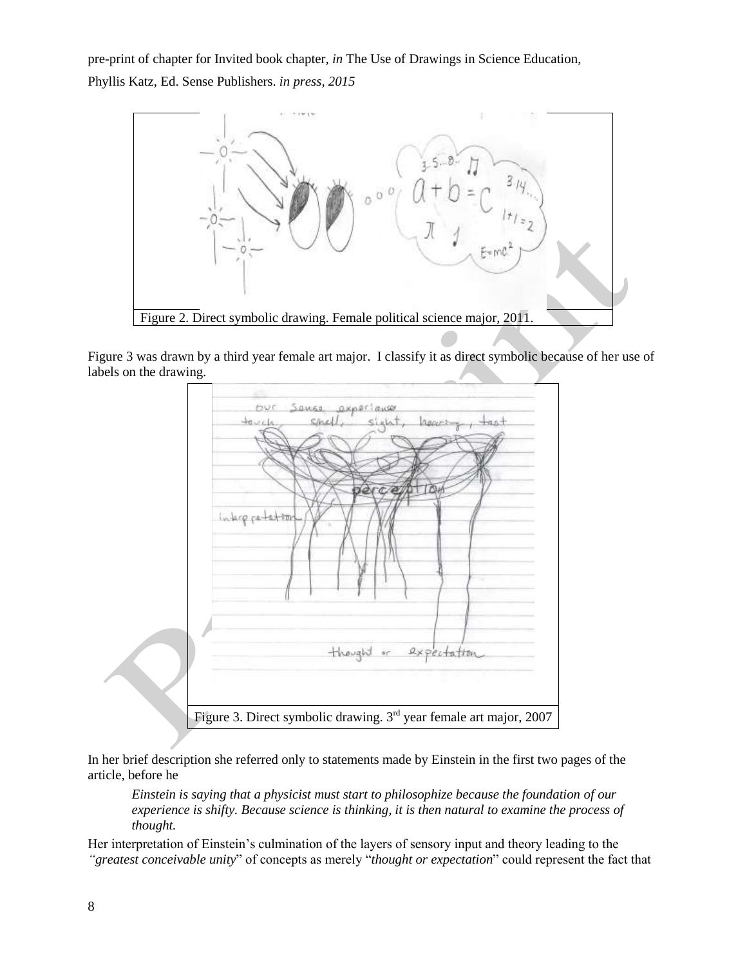

Figure 3 was drawn by a third year female art major. I classify it as direct symbolic because of her use of labels on the drawing.



In her brief description she referred only to statements made by Einstein in the first two pages of the article, before he

*Einstein is saying that a physicist must start to philosophize because the foundation of our experience is shifty. Because science is thinking, it is then natural to examine the process of thought.*

Her interpretation of Einstein's culmination of the layers of sensory input and theory leading to the "greatest conceivable unity" of concepts as merely "thought or expectation" could represent the fact that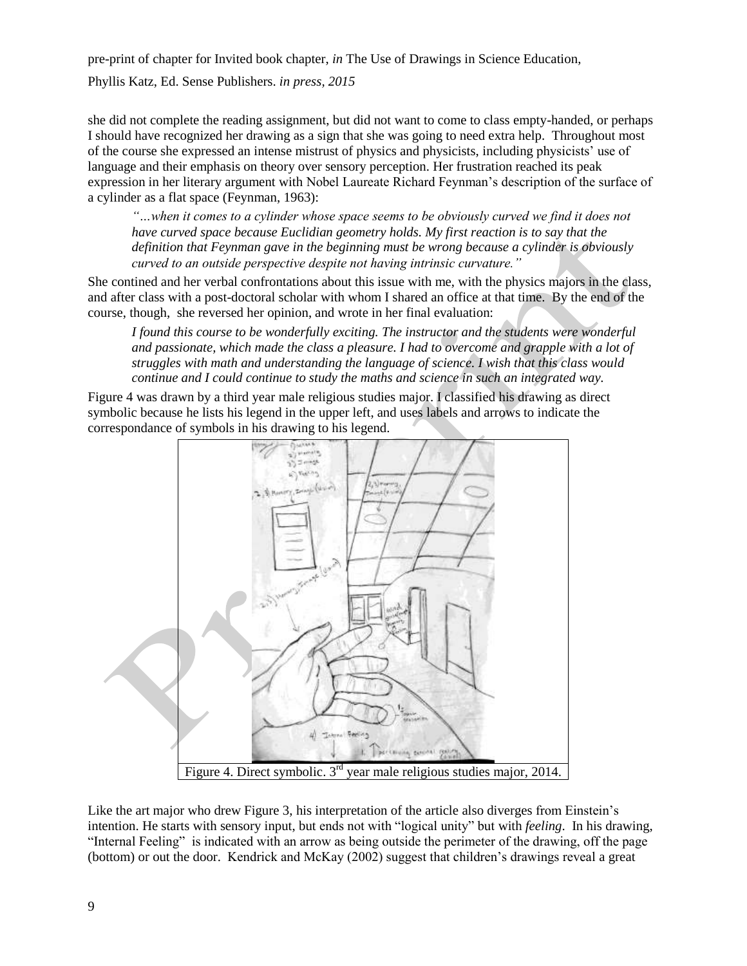Phyllis Katz, Ed. Sense Publishers. *in press, 2015*

she did not complete the reading assignment, but did not want to come to class empty-handed, or perhaps I should have recognized her drawing as a sign that she was going to need extra help. Throughout most of the course she expressed an intense mistrust of physics and physicists, including physicists' use of language and their emphasis on theory over sensory perception. Her frustration reached its peak expression in her literary argument with Nobel Laureate Richard Feynman's description of the surface of a cylinder as a flat space (Feynman, 1963):

*"…when it comes to a cylinder whose space seems to be obviously curved we find it does not have curved space because Euclidian geometry holds. My first reaction is to say that the definition that Feynman gave in the beginning must be wrong because a cylinder is obviously curved to an outside perspective despite not having intrinsic curvature."*

She contined and her verbal confrontations about this issue with me, with the physics majors in the class, and after class with a post-doctoral scholar with whom I shared an office at that time. By the end of the course, though, she reversed her opinion, and wrote in her final evaluation:

*I found this course to be wonderfully exciting. The instructor and the students were wonderful and passionate, which made the class a pleasure. I had to overcome and grapple with a lot of struggles with math and understanding the language of science. I wish that this class would continue and I could continue to study the maths and science in such an integrated way.* 

Figure 4 was drawn by a third year male religious studies major. I classified his drawing as direct symbolic because he lists his legend in the upper left, and uses labels and arrows to indicate the correspondance of symbols in his drawing to his legend.



Like the art major who drew Figure 3, his interpretation of the article also diverges from Einstein's intention. He starts with sensory input, but ends not with "logical unity" but with *feeling*. In his drawing, "Internal Feeling" is indicated with an arrow as being outside the perimeter of the drawing, off the page (bottom) or out the door. Kendrick and McKay (2002) suggest that children's drawings reveal a great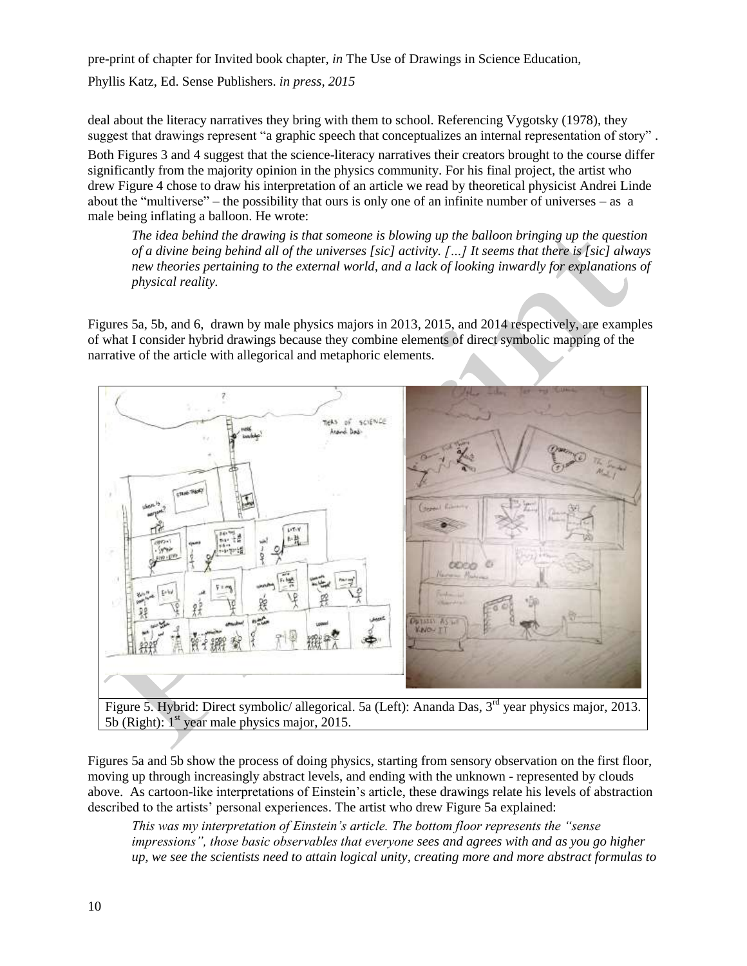Phyllis Katz, Ed. Sense Publishers. *in press, 2015*

deal about the literacy narratives they bring with them to school. Referencing Vygotsky (1978), they suggest that drawings represent "a graphic speech that conceptualizes an internal representation of story".

Both Figures 3 and 4 suggest that the science-literacy narratives their creators brought to the course differ significantly from the majority opinion in the physics community. For his final project, the artist who drew Figure 4 chose to draw his interpretation of an article we read by theoretical physicist Andrei Linde about the "multiverse" – the possibility that ours is only one of an infinite number of universes – as a male being inflating a balloon. He wrote:

*The idea behind the drawing is that someone is blowing up the balloon bringing up the question of a divine being behind all of the universes [sic] activity. […] It seems that there is [sic] always new theories pertaining to the external world, and a lack of looking inwardly for explanations of physical reality.* 

Figures 5a, 5b, and 6, drawn by male physics majors in 2013, 2015, and 2014 respectively, are examples of what I consider hybrid drawings because they combine elements of direct symbolic mapping of the narrative of the article with allegorical and metaphoric elements.



Figure 5. Hybrid: Direct symbolic/ allegorical. 5a (Left): Ananda Das, 3<sup>rd</sup> year physics major, 2013. 5b (Right):  $1<sup>st</sup>$  year male physics major, 2015.

Figures 5a and 5b show the process of doing physics, starting from sensory observation on the first floor, moving up through increasingly abstract levels, and ending with the unknown - represented by clouds above. As cartoon-like interpretations of Einstein's article, these drawings relate his levels of abstraction described to the artists' personal experiences. The artist who drew Figure 5a explained:

*This was my interpretation of Einstein"s article. The bottom floor represents the "sense impressions", those basic observables that everyone sees and agrees with and as you go higher up, we see the scientists need to attain logical unity, creating more and more abstract formulas to*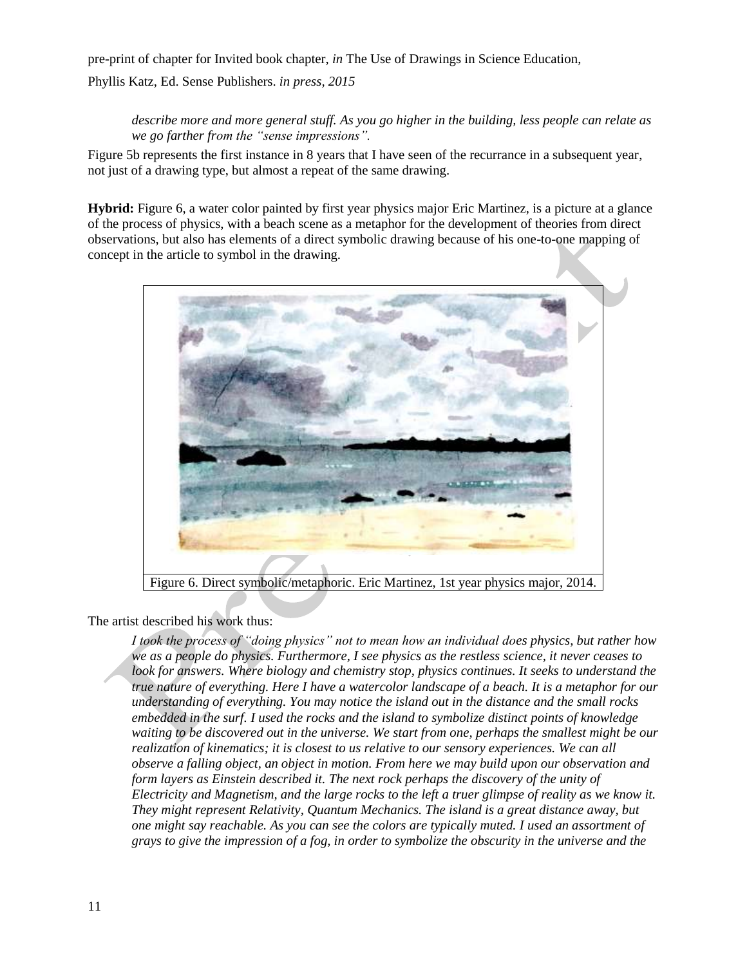Phyllis Katz, Ed. Sense Publishers. *in press, 2015*

*describe more and more general stuff. As you go higher in the building, less people can relate as we go farther from the "sense impressions".* 

Figure 5b represents the first instance in 8 years that I have seen of the recurrance in a subsequent year, not just of a drawing type, but almost a repeat of the same drawing.

**Hybrid:** Figure 6, a water color painted by first year physics major Eric Martinez, is a picture at a glance of the process of physics, with a beach scene as a metaphor for the development of theories from direct observations, but also has elements of a direct symbolic drawing because of his one-to-one mapping of concept in the article to symbol in the drawing.



The artist described his work thus:

*I took the process of "doing physics" not to mean how an individual does physics, but rather how we as a people do physics. Furthermore, I see physics as the restless science, it never ceases to*  look for answers. Where biology and chemistry stop, physics continues. It seeks to understand the *true nature of everything. Here I have a watercolor landscape of a beach. It is a metaphor for our understanding of everything. You may notice the island out in the distance and the small rocks embedded in the surf. I used the rocks and the island to symbolize distinct points of knowledge waiting to be discovered out in the universe. We start from one, perhaps the smallest might be our realization of kinematics; it is closest to us relative to our sensory experiences. We can all observe a falling object, an object in motion. From here we may build upon our observation and form layers as Einstein described it. The next rock perhaps the discovery of the unity of Electricity and Magnetism, and the large rocks to the left a truer glimpse of reality as we know it. They might represent Relativity, Quantum Mechanics. The island is a great distance away, but one might say reachable. As you can see the colors are typically muted. I used an assortment of grays to give the impression of a fog, in order to symbolize the obscurity in the universe and the*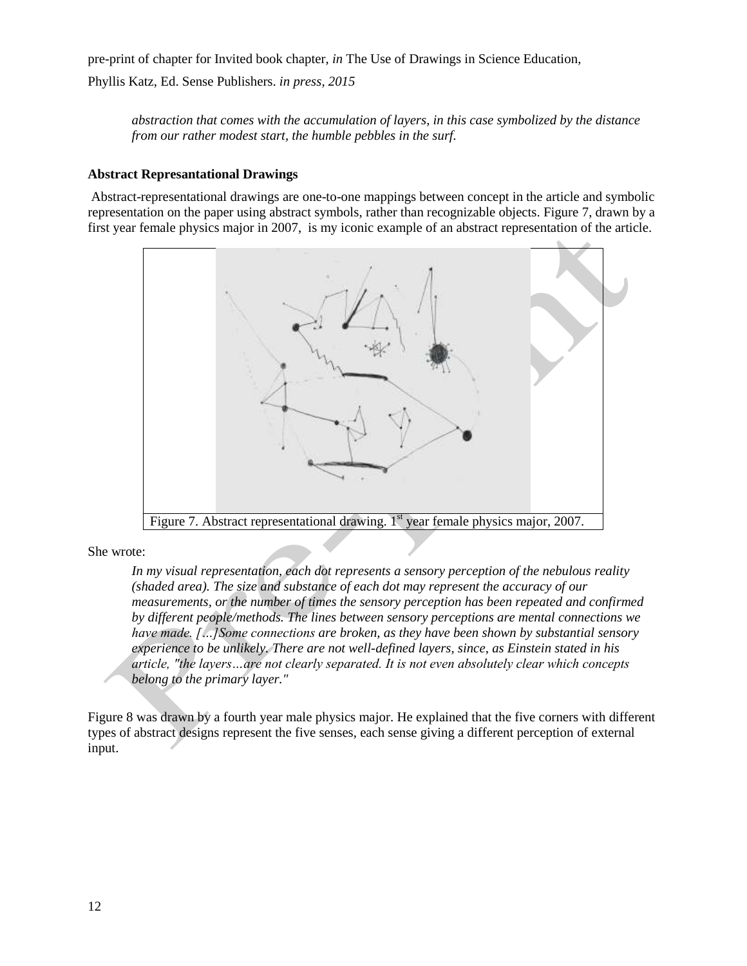Phyllis Katz, Ed. Sense Publishers. *in press, 2015*

*abstraction that comes with the accumulation of layers, in this case symbolized by the distance from our rather modest start, the humble pebbles in the surf.*

#### **Abstract Represantational Drawings**

Abstract-representational drawings are one-to-one mappings between concept in the article and symbolic representation on the paper using abstract symbols, rather than recognizable objects. Figure 7, drawn by a first year female physics major in 2007, is my iconic example of an abstract representation of the article.



She wrote:

*In my visual representation, each dot represents a sensory perception of the nebulous reality (shaded area). The size and substance of each dot may represent the accuracy of our measurements, or the number of times the sensory perception has been repeated and confirmed by different people/methods. The lines between sensory perceptions are mental connections we have made. […]Some connections are broken, as they have been shown by substantial sensory experience to be unlikely. There are not well-defined layers, since, as Einstein stated in his article, "the layers…are not clearly separated. It is not even absolutely clear which concepts belong to the primary layer."*

Figure 8 was drawn by a fourth year male physics major. He explained that the five corners with different types of abstract designs represent the five senses, each sense giving a different perception of external input.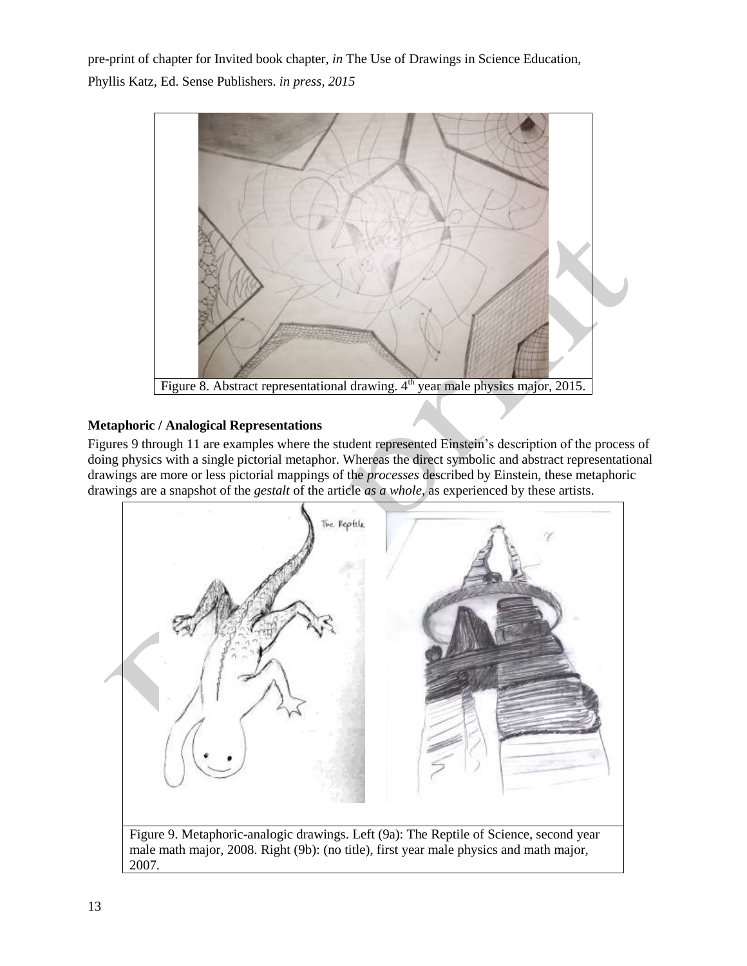

### **Metaphoric / Analogical Representations**

Figures 9 through 11 are examples where the student represented Einstein's description of the process of doing physics with a single pictorial metaphor. Whereas the direct symbolic and abstract representational drawings are more or less pictorial mappings of the *processes* described by Einstein, these metaphoric drawings are a snapshot of the *gestalt* of the article *as a whole*, as experienced by these artists.

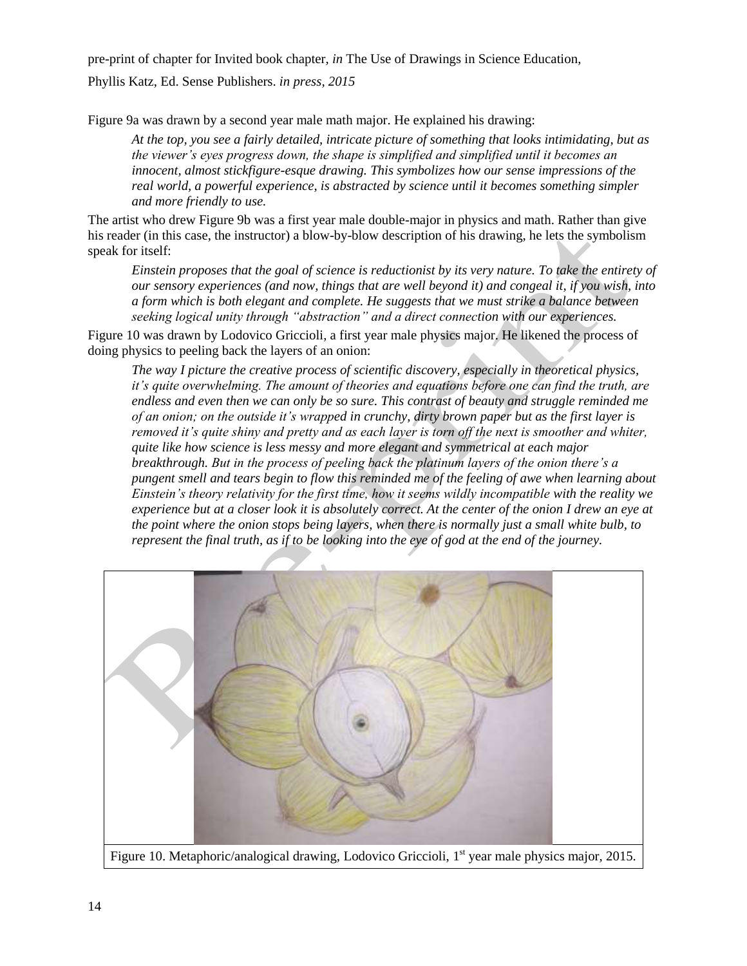Phyllis Katz, Ed. Sense Publishers. *in press, 2015*

Figure 9a was drawn by a second year male math major. He explained his drawing:

*At the top, you see a fairly detailed, intricate picture of something that looks intimidating, but as the viewer"s eyes progress down, the shape is simplified and simplified until it becomes an innocent, almost stickfigure-esque drawing. This symbolizes how our sense impressions of the real world, a powerful experience, is abstracted by science until it becomes something simpler and more friendly to use.*

The artist who drew Figure 9b was a first year male double-major in physics and math. Rather than give his reader (in this case, the instructor) a blow-by-blow description of his drawing, he lets the symbolism speak for itself:

*Einstein proposes that the goal of science is reductionist by its very nature. To take the entirety of our sensory experiences (and now, things that are well beyond it) and congeal it, if you wish, into a form which is both elegant and complete. He suggests that we must strike a balance between seeking logical unity through "abstraction" and a direct connection with our experiences.*

Figure 10 was drawn by Lodovico Griccioli, a first year male physics major. He likened the process of doing physics to peeling back the layers of an onion:

*The way I picture the creative process of scientific discovery, especially in theoretical physics, it"s quite overwhelming. The amount of theories and equations before one can find the truth, are endless and even then we can only be so sure. This contrast of beauty and struggle reminded me of an onion; on the outside it"s wrapped in crunchy, dirty brown paper but as the first layer is removed it"s quite shiny and pretty and as each layer is torn off the next is smoother and whiter, quite like how science is less messy and more elegant and symmetrical at each major breakthrough. But in the process of peeling back the platinum layers of the onion there"s a pungent smell and tears begin to flow this reminded me of the feeling of awe when learning about Einstein"s theory relativity for the first time, how it seems wildly incompatible with the reality we experience but at a closer look it is absolutely correct. At the center of the onion I drew an eye at the point where the onion stops being layers, when there is normally just a small white bulb, to represent the final truth, as if to be looking into the eye of god at the end of the journey.*



Figure 10. Metaphoric/analogical drawing, Lodovico Griccioli, 1<sup>st</sup> year male physics major, 2015.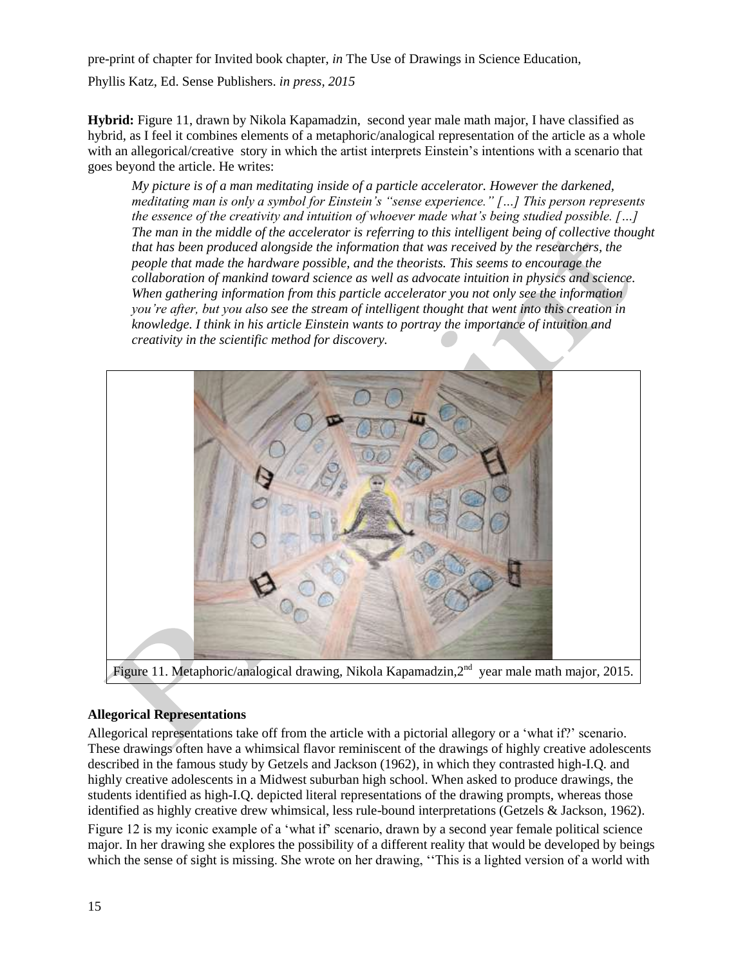Phyllis Katz, Ed. Sense Publishers. *in press, 2015*

**Hybrid:** Figure 11, drawn by Nikola Kapamadzin, second year male math major, I have classified as hybrid, as I feel it combines elements of a metaphoric/analogical representation of the article as a whole with an allegorical/creative story in which the artist interprets Einstein's intentions with a scenario that goes beyond the article. He writes:

*My picture is of a man meditating inside of a particle accelerator. However the darkened, meditating man is only a symbol for Einstein"s "sense experience." […] This person represents the essence of the creativity and intuition of whoever made what"s being studied possible. […] The man in the middle of the accelerator is referring to this intelligent being of collective thought that has been produced alongside the information that was received by the researchers, the people that made the hardware possible, and the theorists. This seems to encourage the collaboration of mankind toward science as well as advocate intuition in physics and science. When gathering information from this particle accelerator you not only see the information you"re after, but you also see the stream of intelligent thought that went into this creation in knowledge. I think in his article Einstein wants to portray the importance of intuition and creativity in the scientific method for discovery.*



Figure 11. Metaphoric/analogical drawing, Nikola Kapamadzin, 2<sup>nd</sup> year male math major, 2015.

# **Allegorical Representations**

Allegorical representations take off from the article with a pictorial allegory or a 'what if?' scenario. These drawings often have a whimsical flavor reminiscent of the drawings of highly creative adolescents described in the famous study by Getzels and Jackson (1962), in which they contrasted high-I.Q. and highly creative adolescents in a Midwest suburban high school. When asked to produce drawings, the students identified as high-I.Q. depicted literal representations of the drawing prompts, whereas those identified as highly creative drew whimsical, less rule-bound interpretations (Getzels & Jackson, 1962). Figure 12 is my iconic example of a 'what if' scenario, drawn by a second year female political science major. In her drawing she explores the possibility of a different reality that would be developed by beings which the sense of sight is missing. She wrote on her drawing, "This is a lighted version of a world with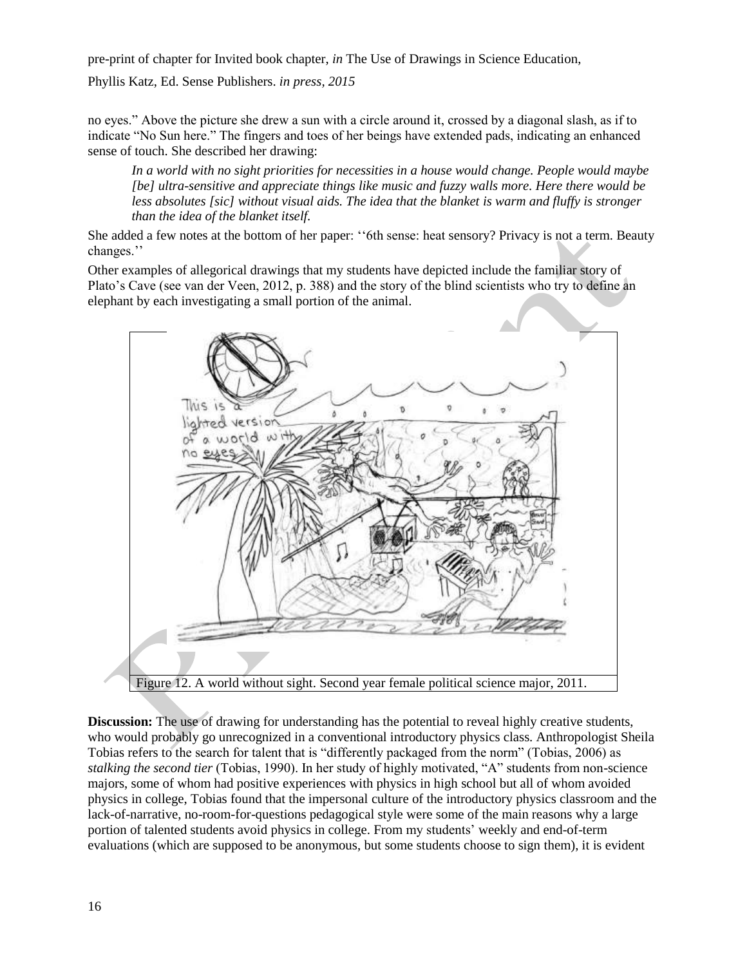Phyllis Katz, Ed. Sense Publishers. *in press, 2015*

no eyes.‖ Above the picture she drew a sun with a circle around it, crossed by a diagonal slash, as if to indicate "No Sun here." The fingers and toes of her beings have extended pads, indicating an enhanced sense of touch. She described her drawing:

*In a world with no sight priorities for necessities in a house would change. People would maybe [be] ultra-sensitive and appreciate things like music and fuzzy walls more. Here there would be less absolutes [sic] without visual aids. The idea that the blanket is warm and fluffy is stronger than the idea of the blanket itself.*

She added a few notes at the bottom of her paper: "6th sense: heat sensory? Privacy is not a term. Beauty changes.''

Other examples of allegorical drawings that my students have depicted include the familiar story of Plato's Cave (see van der Veen, 2012, p. 388) and the story of the blind scientists who try to define an elephant by each investigating a small portion of the animal.



**Discussion:** The use of drawing for understanding has the potential to reveal highly creative students, who would probably go unrecognized in a conventional introductory physics class. Anthropologist Sheila Tobias refers to the search for talent that is "differently packaged from the norm" (Tobias, 2006) as *stalking the second tier* (Tobias, 1990). In her study of highly motivated, "A" students from non-science majors, some of whom had positive experiences with physics in high school but all of whom avoided physics in college, Tobias found that the impersonal culture of the introductory physics classroom and the lack-of-narrative, no-room-for-questions pedagogical style were some of the main reasons why a large portion of talented students avoid physics in college. From my students' weekly and end-of-term evaluations (which are supposed to be anonymous, but some students choose to sign them), it is evident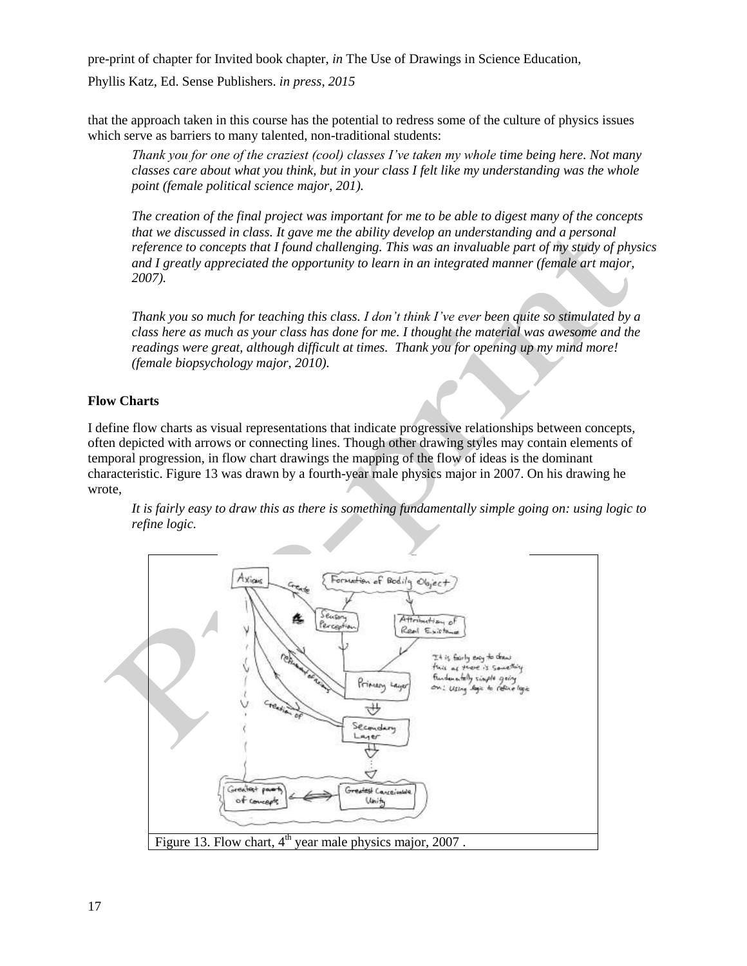Phyllis Katz, Ed. Sense Publishers. *in press, 2015*

that the approach taken in this course has the potential to redress some of the culture of physics issues which serve as barriers to many talented, non-traditional students:

*Thank you for one of the craziest (cool) classes I"ve taken my whole time being here. Not many classes care about what you think, but in your class I felt like my understanding was the whole point (female political science major, 201).*

*The creation of the final project was important for me to be able to digest many of the concepts that we discussed in class. It gave me the ability develop an understanding and a personal reference to concepts that I found challenging. This was an invaluable part of my study of physics and I greatly appreciated the opportunity to learn in an integrated manner (female art major, 2007).*

*Thank you so much for teaching this class. I don"t think I"ve ever been quite so stimulated by a class here as much as your class has done for me. I thought the material was awesome and the readings were great, although difficult at times. Thank you for opening up my mind more! (female biopsychology major, 2010).* 

### **Flow Charts**

I define flow charts as visual representations that indicate progressive relationships between concepts, often depicted with arrows or connecting lines. Though other drawing styles may contain elements of temporal progression, in flow chart drawings the mapping of the flow of ideas is the dominant characteristic. Figure 13 was drawn by a fourth-year male physics major in 2007. On his drawing he wrote,

*It is fairly easy to draw this as there is something fundamentally simple going on: using logic to refine logic.*

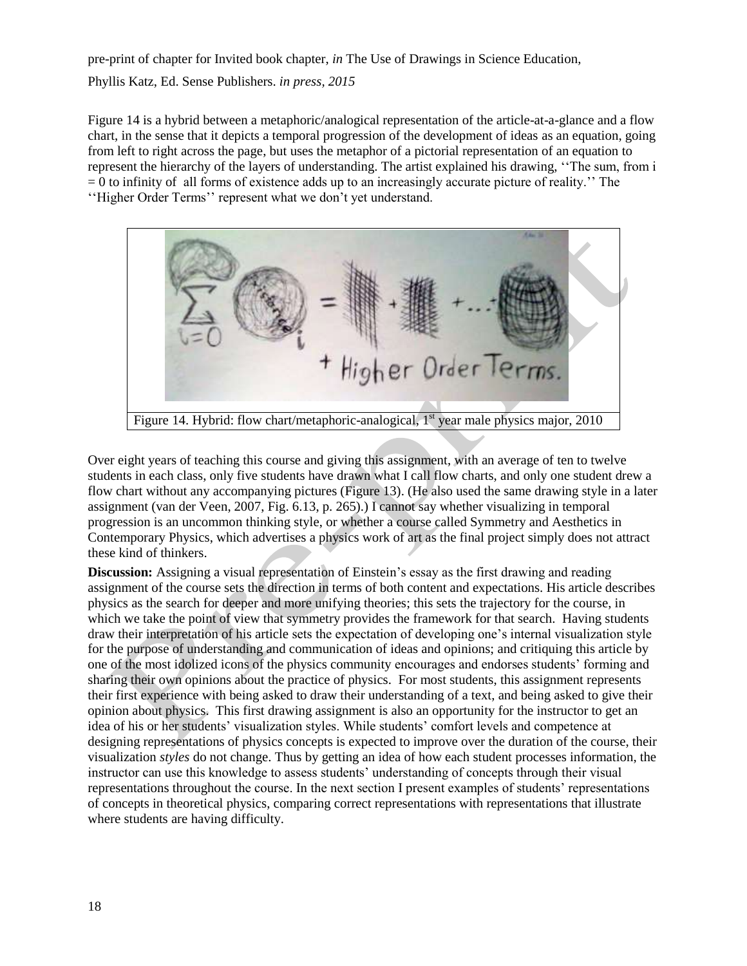Phyllis Katz, Ed. Sense Publishers. *in press, 2015*

Figure 14 is a hybrid between a metaphoric/analogical representation of the article-at-a-glance and a flow chart, in the sense that it depicts a temporal progression of the development of ideas as an equation, going from left to right across the page, but uses the metaphor of a pictorial representation of an equation to represent the hierarchy of the layers of understanding. The artist explained his drawing, "The sum, from i  $= 0$  to infinity of all forms of existence adds up to an increasingly accurate picture of reality.'' The "Higher Order Terms" represent what we don't yet understand.



Over eight years of teaching this course and giving this assignment, with an average of ten to twelve students in each class, only five students have drawn what I call flow charts, and only one student drew a flow chart without any accompanying pictures (Figure 13). (He also used the same drawing style in a later assignment (van der Veen, 2007, Fig. 6.13, p. 265).) I cannot say whether visualizing in temporal progression is an uncommon thinking style, or whether a course called Symmetry and Aesthetics in Contemporary Physics, which advertises a physics work of art as the final project simply does not attract these kind of thinkers.

**Discussion:** Assigning a visual representation of Einstein's essay as the first drawing and reading assignment of the course sets the direction in terms of both content and expectations. His article describes physics as the search for deeper and more unifying theories; this sets the trajectory for the course, in which we take the point of view that symmetry provides the framework for that search. Having students draw their interpretation of his article sets the expectation of developing one's internal visualization style for the purpose of understanding and communication of ideas and opinions; and critiquing this article by one of the most idolized icons of the physics community encourages and endorses students' forming and sharing their own opinions about the practice of physics. For most students, this assignment represents their first experience with being asked to draw their understanding of a text, and being asked to give their opinion about physics. This first drawing assignment is also an opportunity for the instructor to get an idea of his or her students' visualization styles. While students' comfort levels and competence at designing representations of physics concepts is expected to improve over the duration of the course, their visualization *styles* do not change. Thus by getting an idea of how each student processes information, the instructor can use this knowledge to assess students' understanding of concepts through their visual representations throughout the course. In the next section I present examples of students' representations of concepts in theoretical physics, comparing correct representations with representations that illustrate where students are having difficulty.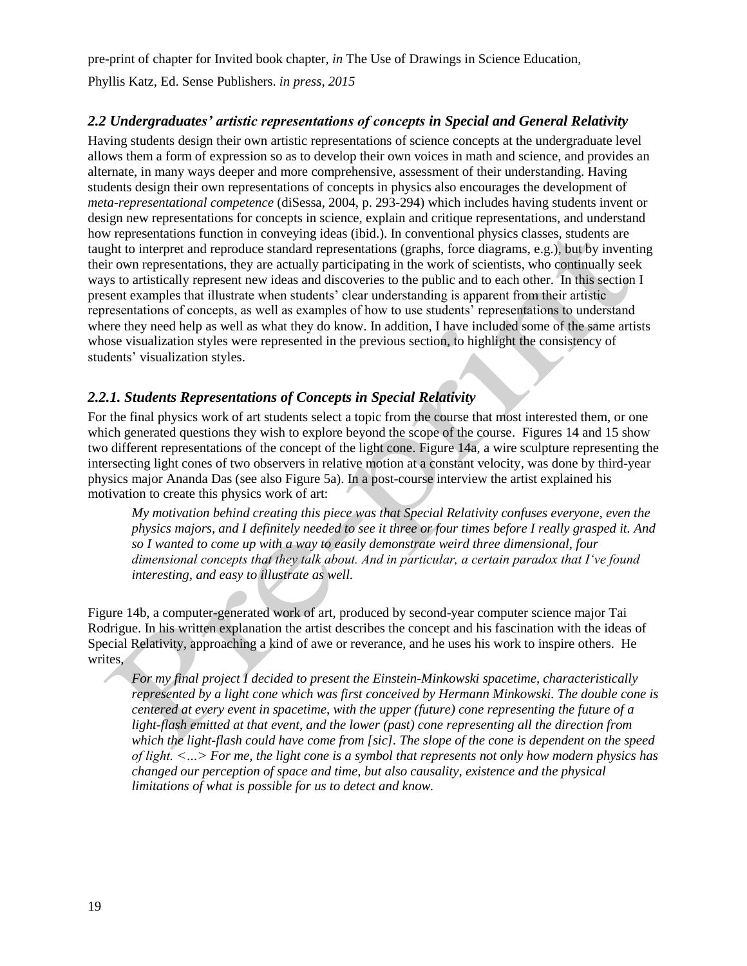Phyllis Katz, Ed. Sense Publishers. *in press, 2015*

### *2.2 Undergraduates' artistic representations of concepts in Special and General Relativity*

Having students design their own artistic representations of science concepts at the undergraduate level allows them a form of expression so as to develop their own voices in math and science, and provides an alternate, in many ways deeper and more comprehensive, assessment of their understanding. Having students design their own representations of concepts in physics also encourages the development of *meta-representational competence* (diSessa, 2004, p. 293-294) which includes having students invent or design new representations for concepts in science, explain and critique representations, and understand how representations function in conveying ideas (ibid.). In conventional physics classes, students are taught to interpret and reproduce standard representations (graphs, force diagrams, e.g.), but by inventing their own representations, they are actually participating in the work of scientists, who continually seek ways to artistically represent new ideas and discoveries to the public and to each other. In this section I present examples that illustrate when students' clear understanding is apparent from their artistic representations of concepts, as well as examples of how to use students' representations to understand where they need help as well as what they do know. In addition, I have included some of the same artists whose visualization styles were represented in the previous section, to highlight the consistency of students' visualization styles.

# *2.2.1. Students Representations of Concepts in Special Relativity*

For the final physics work of art students select a topic from the course that most interested them, or one which generated questions they wish to explore beyond the scope of the course. Figures 14 and 15 show two different representations of the concept of the light cone. Figure 14a, a wire sculpture representing the intersecting light cones of two observers in relative motion at a constant velocity, was done by third-year physics major Ananda Das (see also Figure 5a). In a post-course interview the artist explained his motivation to create this physics work of art:

*My motivation behind creating this piece was that Special Relativity confuses everyone, even the physics majors, and I definitely needed to see it three or four times before I really grasped it. And so I wanted to come up with a way to easily demonstrate weird three dimensional, four dimensional concepts that they talk about. And in particular, a certain paradox that I"ve found interesting, and easy to illustrate as well.*

Figure 14b, a computer-generated work of art, produced by second-year computer science major Tai Rodrigue. In his written explanation the artist describes the concept and his fascination with the ideas of Special Relativity, approaching a kind of awe or reverance, and he uses his work to inspire others. He writes,

*For my final project I decided to present the Einstein-Minkowski spacetime, characteristically represented by a light cone which was first conceived by Hermann Minkowski. The double cone is centered at every event in spacetime, with the upper (future) cone representing the future of a light-flash emitted at that event, and the lower (past) cone representing all the direction from which the light-flash could have come from [sic]. The slope of the cone is dependent on the speed of light. <…> For me, the light cone is a symbol that represents not only how modern physics has changed our perception of space and time, but also causality, existence and the physical limitations of what is possible for us to detect and know.*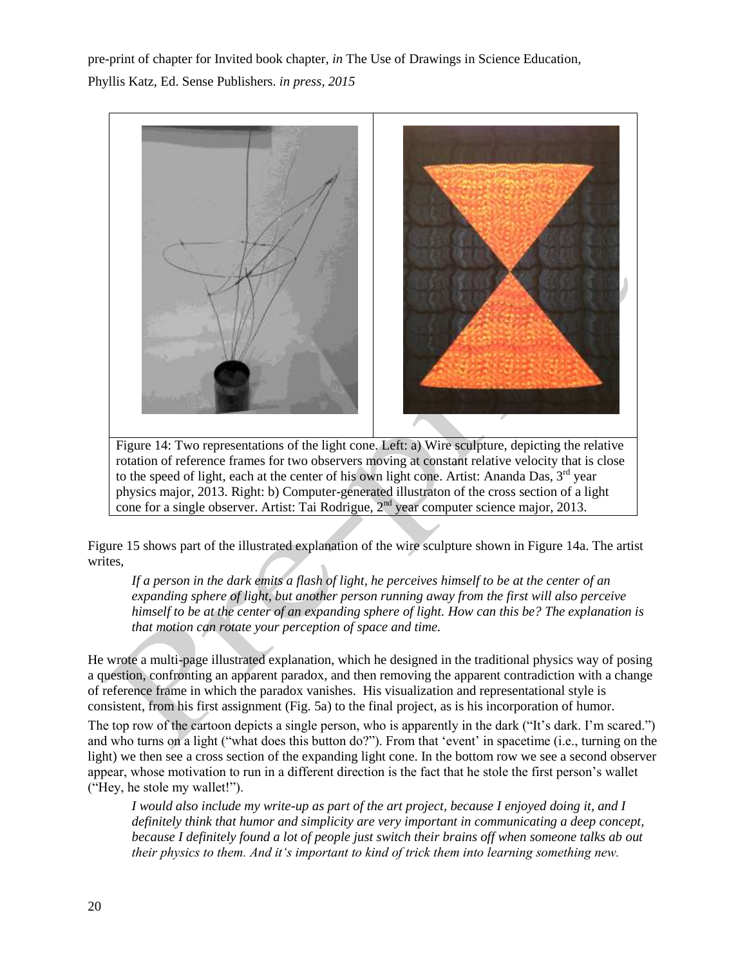

Figure 14: Two representations of the light cone. Left: a) Wire sculpture, depicting the relative rotation of reference frames for two observers moving at constant relative velocity that is close to the speed of light, each at the center of his own light cone. Artist: Ananda Das,  $3<sup>rd</sup>$  year physics major, 2013. Right: b) Computer-generated illustraton of the cross section of a light cone for a single observer. Artist: Tai Rodrigue,  $2<sup>nd</sup>$  year computer science major, 2013.

Figure 15 shows part of the illustrated explanation of the wire sculpture shown in Figure 14a. The artist writes,

*If a person in the dark emits a flash of light, he perceives himself to be at the center of an expanding sphere of light, but another person running away from the first will also perceive himself to be at the center of an expanding sphere of light. How can this be? The explanation is that motion can rotate your perception of space and time.*

He wrote a multi-page illustrated explanation, which he designed in the traditional physics way of posing a question, confronting an apparent paradox, and then removing the apparent contradiction with a change of reference frame in which the paradox vanishes. His visualization and representational style is consistent, from his first assignment (Fig. 5a) to the final project, as is his incorporation of humor.

The top row of the cartoon depicts a single person, who is apparently in the dark ("It's dark. I'm scared.") and who turns on a light ("what does this button do?"). From that 'event' in spacetime (i.e., turning on the light) we then see a cross section of the expanding light cone. In the bottom row we see a second observer appear, whose motivation to run in a different direction is the fact that he stole the first person's wallet  $("Hey, he stole my wallet]").$ 

*I would also include my write-up as part of the art project, because I enjoyed doing it, and I definitely think that humor and simplicity are very important in communicating a deep concept, because I definitely found a lot of people just switch their brains off when someone talks ab out their physics to them. And it"s important to kind of trick them into learning something new.*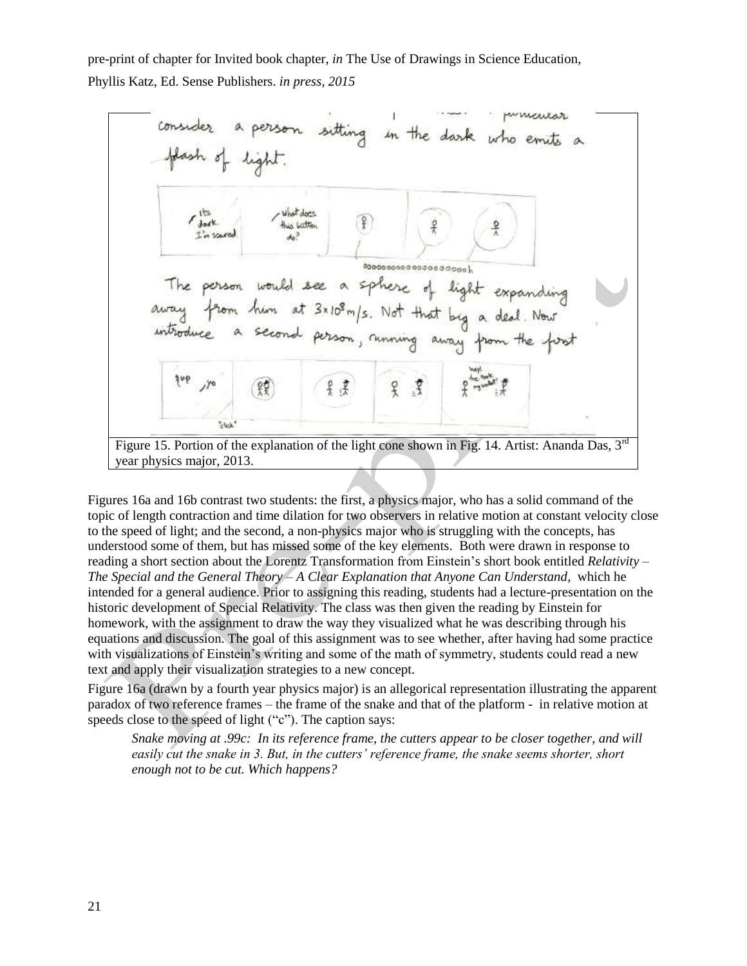

Figures 16a and 16b contrast two students: the first, a physics major, who has a solid command of the topic of length contraction and time dilation for two observers in relative motion at constant velocity close to the speed of light; and the second, a non-physics major who is struggling with the concepts, has understood some of them, but has missed some of the key elements. Both were drawn in response to reading a short section about the Lorentz Transformation from Einstein's short book entitled *Relativity – The Special and the General Theory – A Clear Explanation that Anyone Can Understand*, which he intended for a general audience. Prior to assigning this reading, students had a lecture-presentation on the historic development of Special Relativity. The class was then given the reading by Einstein for homework, with the assignment to draw the way they visualized what he was describing through his equations and discussion. The goal of this assignment was to see whether, after having had some practice with visualizations of Einstein's writing and some of the math of symmetry, students could read a new text and apply their visualization strategies to a new concept.

Figure 16a (drawn by a fourth year physics major) is an allegorical representation illustrating the apparent paradox of two reference frames – the frame of the snake and that of the platform - in relative motion at speeds close to the speed of light  $("c")$ . The caption says:

*Snake moving at .99c: In its reference frame, the cutters appear to be closer together, and will easily cut the snake in 3. But, in the cutters" reference frame, the snake seems shorter, short enough not to be cut. Which happens?*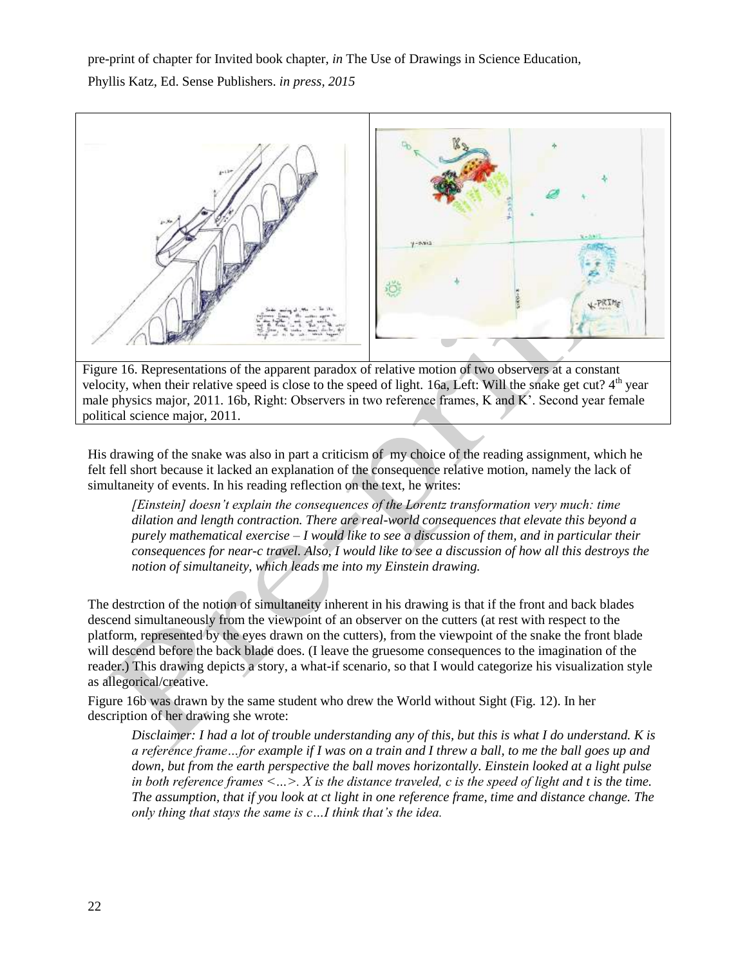

Figure 16. Representations of the apparent paradox of relative motion of two observers at a constant velocity, when their relative speed is close to the speed of light. 16a, Left: Will the snake get cut?  $4<sup>th</sup>$  year male physics major, 2011. 16b, Right: Observers in two reference frames, K and K'. Second year female political science major, 2011.

His drawing of the snake was also in part a criticism of my choice of the reading assignment, which he felt fell short because it lacked an explanation of the consequence relative motion, namely the lack of simultaneity of events. In his reading reflection on the text, he writes:

*[Einstein] doesn"t explain the consequences of the Lorentz transformation very much: time dilation and length contraction. There are real-world consequences that elevate this beyond a purely mathematical exercise – I would like to see a discussion of them, and in particular their consequences for near-c travel. Also, I would like to see a discussion of how all this destroys the notion of simultaneity, which leads me into my Einstein drawing.*

The destrction of the notion of simultaneity inherent in his drawing is that if the front and back blades descend simultaneously from the viewpoint of an observer on the cutters (at rest with respect to the platform, represented by the eyes drawn on the cutters), from the viewpoint of the snake the front blade will descend before the back blade does. (I leave the gruesome consequences to the imagination of the reader.) This drawing depicts a story, a what-if scenario, so that I would categorize his visualization style as allegorical/creative.

Figure 16b was drawn by the same student who drew the World without Sight (Fig. 12). In her description of her drawing she wrote:

*Disclaimer: I had a lot of trouble understanding any of this, but this is what I do understand. K is a reference frame…for example if I was on a train and I threw a ball, to me the ball goes up and down, but from the earth perspective the ball moves horizontally. Einstein looked at a light pulse in both reference frames <…>. X is the distance traveled, c is the speed of light and t is the time. The assumption, that if you look at ct light in one reference frame, time and distance change. The only thing that stays the same is c…I think that"s the idea.*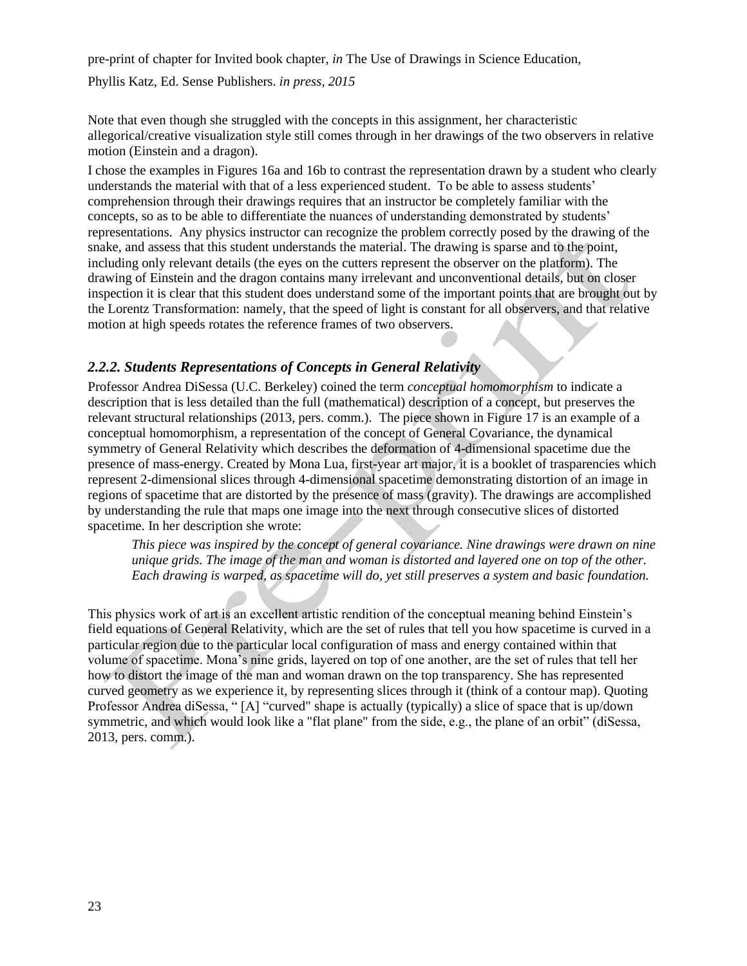Phyllis Katz, Ed. Sense Publishers. *in press, 2015*

Note that even though she struggled with the concepts in this assignment, her characteristic allegorical/creative visualization style still comes through in her drawings of the two observers in relative motion (Einstein and a dragon).

I chose the examples in Figures 16a and 16b to contrast the representation drawn by a student who clearly understands the material with that of a less experienced student. To be able to assess students' comprehension through their drawings requires that an instructor be completely familiar with the concepts, so as to be able to differentiate the nuances of understanding demonstrated by students' representations. Any physics instructor can recognize the problem correctly posed by the drawing of the snake, and assess that this student understands the material. The drawing is sparse and to the point, including only relevant details (the eyes on the cutters represent the observer on the platform). The drawing of Einstein and the dragon contains many irrelevant and unconventional details, but on closer inspection it is clear that this student does understand some of the important points that are brought out by the Lorentz Transformation: namely, that the speed of light is constant for all observers, and that relative motion at high speeds rotates the reference frames of two observers.

### *2.2.2. Students Representations of Concepts in General Relativity*

Professor Andrea DiSessa (U.C. Berkeley) coined the term *conceptual homomorphism* to indicate a description that is less detailed than the full (mathematical) description of a concept, but preserves the relevant structural relationships (2013, pers. comm.). The piece shown in Figure 17 is an example of a conceptual homomorphism, a representation of the concept of General Covariance, the dynamical symmetry of General Relativity which describes the deformation of 4-dimensional spacetime due the presence of mass-energy. Created by Mona Lua, first-year art major, it is a booklet of trasparencies which represent 2-dimensional slices through 4-dimensional spacetime demonstrating distortion of an image in regions of spacetime that are distorted by the presence of mass (gravity). The drawings are accomplished by understanding the rule that maps one image into the next through consecutive slices of distorted spacetime. In her description she wrote:

*This piece was inspired by the concept of general covariance. Nine drawings were drawn on nine unique grids. The image of the man and woman is distorted and layered one on top of the other. Each drawing is warped, as spacetime will do, yet still preserves a system and basic foundation.*

This physics work of art is an excellent artistic rendition of the conceptual meaning behind Einstein's field equations of General Relativity, which are the set of rules that tell you how spacetime is curved in a particular region due to the particular local configuration of mass and energy contained within that volume of spacetime. Mona's nine grids, layered on top of one another, are the set of rules that tell her how to distort the image of the man and woman drawn on the top transparency. She has represented curved geometry as we experience it, by representing slices through it (think of a contour map). Quoting Professor Andrea diSessa, "[A] "curved" shape is actually (typically) a slice of space that is up/down symmetric, and which would look like a "flat plane" from the side, e.g., the plane of an orbit" (diSessa, 2013, pers. comm.).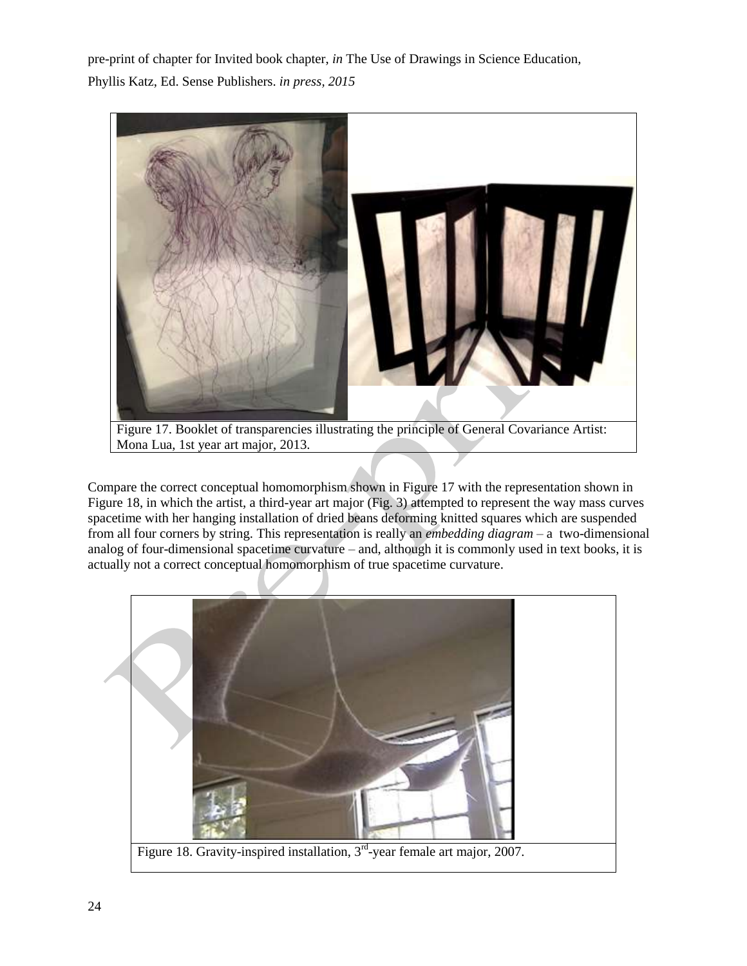

Compare the correct conceptual homomorphism shown in Figure 17 with the representation shown in Figure 18, in which the artist, a third-year art major (Fig. 3) attempted to represent the way mass curves spacetime with her hanging installation of dried beans deforming knitted squares which are suspended from all four corners by string. This representation is really an *embedding diagram* – a two-dimensional analog of four-dimensional spacetime curvature – and, although it is commonly used in text books, it is actually not a correct conceptual homomorphism of true spacetime curvature.

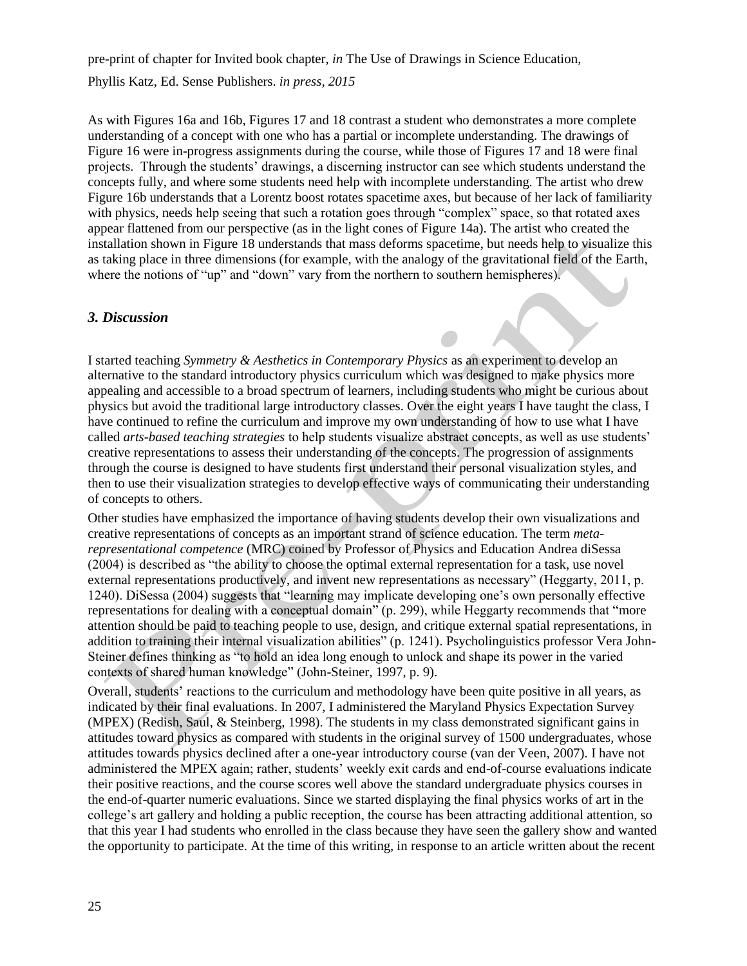Phyllis Katz, Ed. Sense Publishers. *in press, 2015*

As with Figures 16a and 16b, Figures 17 and 18 contrast a student who demonstrates a more complete understanding of a concept with one who has a partial or incomplete understanding. The drawings of Figure 16 were in-progress assignments during the course, while those of Figures 17 and 18 were final projects. Through the students' drawings, a discerning instructor can see which students understand the concepts fully, and where some students need help with incomplete understanding. The artist who drew Figure 16b understands that a Lorentz boost rotates spacetime axes, but because of her lack of familiarity with physics, needs help seeing that such a rotation goes through "complex" space, so that rotated axes appear flattened from our perspective (as in the light cones of Figure 14a). The artist who created the installation shown in Figure 18 understands that mass deforms spacetime, but needs help to visualize this as taking place in three dimensions (for example, with the analogy of the gravitational field of the Earth, where the notions of "up" and "down" vary from the northern to southern hemispheres).

### *3. Discussion*

I started teaching *Symmetry & Aesthetics in Contemporary Physics* as an experiment to develop an alternative to the standard introductory physics curriculum which was designed to make physics more appealing and accessible to a broad spectrum of learners, including students who might be curious about physics but avoid the traditional large introductory classes. Over the eight years I have taught the class, I have continued to refine the curriculum and improve my own understanding of how to use what I have called *arts-based teaching strategies* to help students visualize abstract concepts, as well as use students' creative representations to assess their understanding of the concepts. The progression of assignments through the course is designed to have students first understand their personal visualization styles, and then to use their visualization strategies to develop effective ways of communicating their understanding of concepts to others.

Other studies have emphasized the importance of having students develop their own visualizations and creative representations of concepts as an important strand of science education. The term *metarepresentational competence* (MRC) coined by Professor of Physics and Education Andrea diSessa  $(2004)$  is described as "the ability to choose the optimal external representation for a task, use novel external representations productively, and invent new representations as necessary" (Heggarty, 2011, p. 1240). DiSessa (2004) suggests that "learning may implicate developing one's own personally effective representations for dealing with a conceptual domain" (p. 299), while Heggarty recommends that "more attention should be paid to teaching people to use, design, and critique external spatial representations, in addition to training their internal visualization abilities" (p. 1241). Psycholinguistics professor Vera John-Steiner defines thinking as "to hold an idea long enough to unlock and shape its power in the varied contexts of shared human knowledge" (John-Steiner, 1997, p. 9).

Overall, students' reactions to the curriculum and methodology have been quite positive in all years, as indicated by their final evaluations. In 2007, I administered the Maryland Physics Expectation Survey (MPEX) (Redish, Saul, & Steinberg, 1998). The students in my class demonstrated significant gains in attitudes toward physics as compared with students in the original survey of 1500 undergraduates, whose attitudes towards physics declined after a one-year introductory course (van der Veen, 2007). I have not administered the MPEX again; rather, students' weekly exit cards and end-of-course evaluations indicate their positive reactions, and the course scores well above the standard undergraduate physics courses in the end-of-quarter numeric evaluations. Since we started displaying the final physics works of art in the college's art gallery and holding a public reception, the course has been attracting additional attention, so that this year I had students who enrolled in the class because they have seen the gallery show and wanted the opportunity to participate. At the time of this writing, in response to an article written about the recent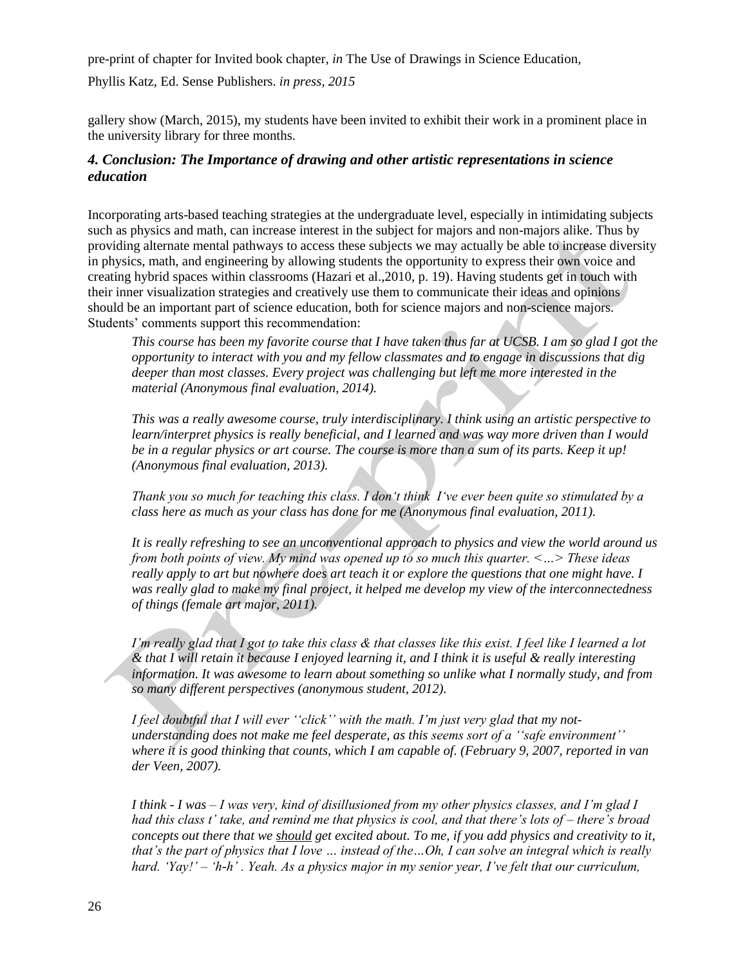Phyllis Katz, Ed. Sense Publishers. *in press, 2015*

gallery show (March, 2015), my students have been invited to exhibit their work in a prominent place in the university library for three months.

### *4. Conclusion: The Importance of drawing and other artistic representations in science education*

Incorporating arts-based teaching strategies at the undergraduate level, especially in intimidating subjects such as physics and math, can increase interest in the subject for majors and non-majors alike. Thus by providing alternate mental pathways to access these subjects we may actually be able to increase diversity in physics, math, and engineering by allowing students the opportunity to express their own voice and creating hybrid spaces within classrooms (Hazari et al.,2010, p. 19). Having students get in touch with their inner visualization strategies and creatively use them to communicate their ideas and opinions should be an important part of science education, both for science majors and non-science majors. Students' comments support this recommendation:

*This course has been my favorite course that I have taken thus far at UCSB. I am so glad I got the opportunity to interact with you and my fellow classmates and to engage in discussions that dig deeper than most classes. Every project was challenging but left me more interested in the material (Anonymous final evaluation, 2014).*

*This was a really awesome course, truly interdisciplinary. I think using an artistic perspective to learn/interpret physics is really beneficial, and I learned and was way more driven than I would be in a regular physics or art course. The course is more than a sum of its parts. Keep it up! (Anonymous final evaluation, 2013).*

*Thank you so much for teaching this class. I don"t think I"ve ever been quite so stimulated by a class here as much as your class has done for me (Anonymous final evaluation, 2011).*

*It is really refreshing to see an unconventional approach to physics and view the world around us from both points of view. My mind was opened up to so much this quarter. <…> These ideas really apply to art but nowhere does art teach it or explore the questions that one might have. I was really glad to make my final project, it helped me develop my view of the interconnectedness of things (female art major, 2011).*

*I"m really glad that I got to take this class & that classes like this exist. I feel like I learned a lot & that I will retain it because I enjoyed learning it, and I think it is useful & really interesting information. It was awesome to learn about something so unlike what I normally study, and from so many different perspectives (anonymous student, 2012).* 

*I feel doubtful that I will ever ""click"" with the math. I"m just very glad that my notunderstanding does not make me feel desperate, as this seems sort of a ""safe environment"" where it is good thinking that counts, which I am capable of. (February 9, 2007, reported in van der Veen, 2007).*

*I think - I was – I was very, kind of disillusioned from my other physics classes, and I"m glad I had this class t" take, and remind me that physics is cool, and that there"s lots of – there"s broad concepts out there that we should get excited about. To me, if you add physics and creativity to it, that"s the part of physics that I love … instead of the…Oh, I can solve an integral which is really hard. "Yay!" – "h-h" . Yeah. As a physics major in my senior year, I"ve felt that our curriculum,*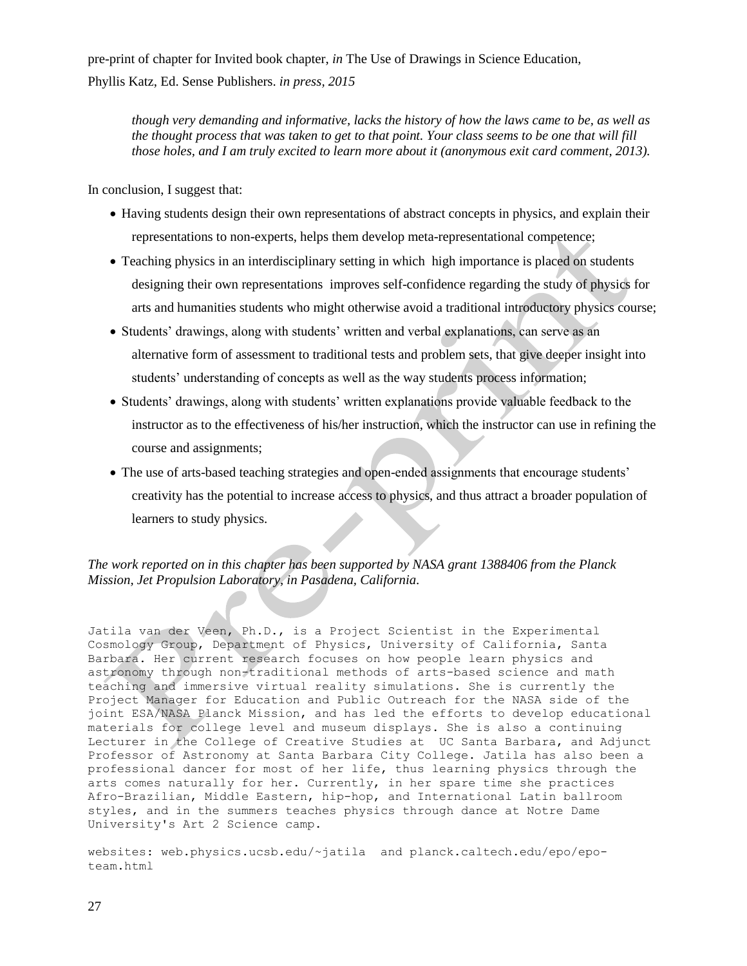*though very demanding and informative, lacks the history of how the laws came to be, as well as the thought process that was taken to get to that point. Your class seems to be one that will fill those holes, and I am truly excited to learn more about it (anonymous exit card comment, 2013).* 

In conclusion, I suggest that:

- Having students design their own representations of abstract concepts in physics, and explain their representations to non-experts, helps them develop meta-representational competence;
- Teaching physics in an interdisciplinary setting in which high importance is placed on students designing their own representations improves self-confidence regarding the study of physics for arts and humanities students who might otherwise avoid a traditional introductory physics course;
- Students' drawings, along with students' written and verbal explanations, can serve as an alternative form of assessment to traditional tests and problem sets, that give deeper insight into students' understanding of concepts as well as the way students process information;
- Students' drawings, along with students' written explanations provide valuable feedback to the instructor as to the effectiveness of his/her instruction, which the instructor can use in refining the course and assignments;
- The use of arts-based teaching strategies and open-ended assignments that encourage students' creativity has the potential to increase access to physics, and thus attract a broader population of learners to study physics.

### *The work reported on in this chapter has been supported by NASA grant 1388406 from the Planck Mission, Jet Propulsion Laboratory, in Pasadena, California.*

Jatila van der Veen, Ph.D., is a Project Scientist in the Experimental Cosmology Group, Department of Physics, University of California, Santa Barbara. Her current research focuses on how people learn physics and astronomy through non-traditional methods of arts-based science and math teaching and immersive virtual reality simulations. She is currently the Project Manager for Education and Public Outreach for the NASA side of the joint ESA/NASA Planck Mission, and has led the efforts to develop educational materials for college level and museum displays. She is also a continuing Lecturer in the College of Creative Studies at UC Santa Barbara, and Adjunct Professor of Astronomy at Santa Barbara City College. Jatila has also been a professional dancer for most of her life, thus learning physics through the arts comes naturally for her. Currently, in her spare time she practices Afro-Brazilian, Middle Eastern, hip-hop, and International Latin ballroom styles, and in the summers teaches physics through dance at Notre Dame University's Art 2 Science camp.

websites: web.physics.ucsb.edu/~jatila and planck.caltech.edu/epo/epoteam.html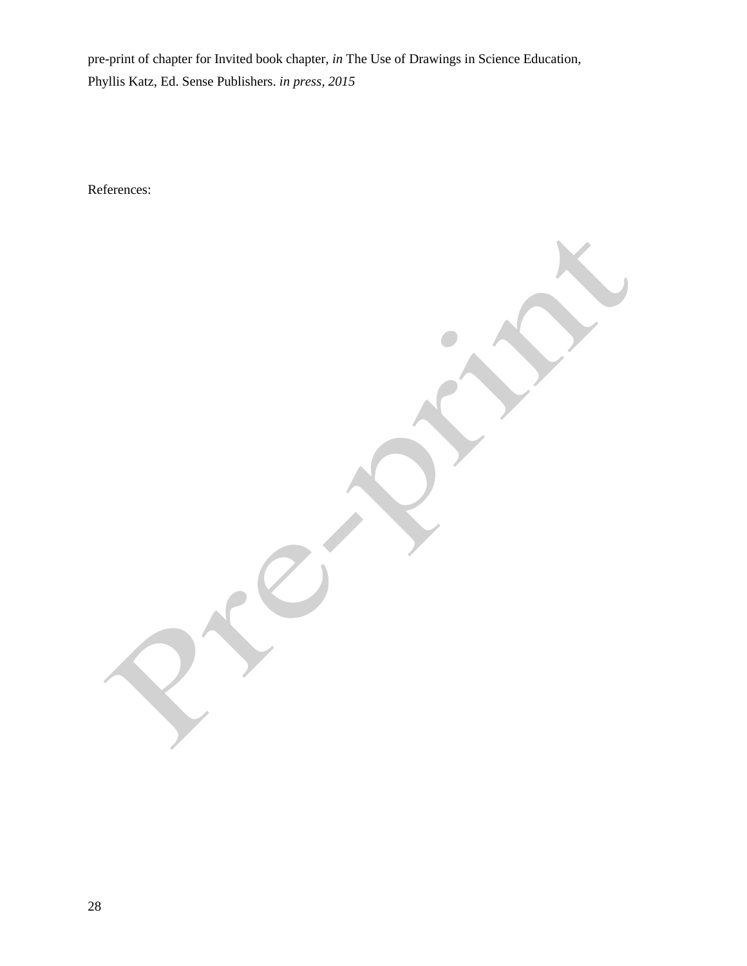References: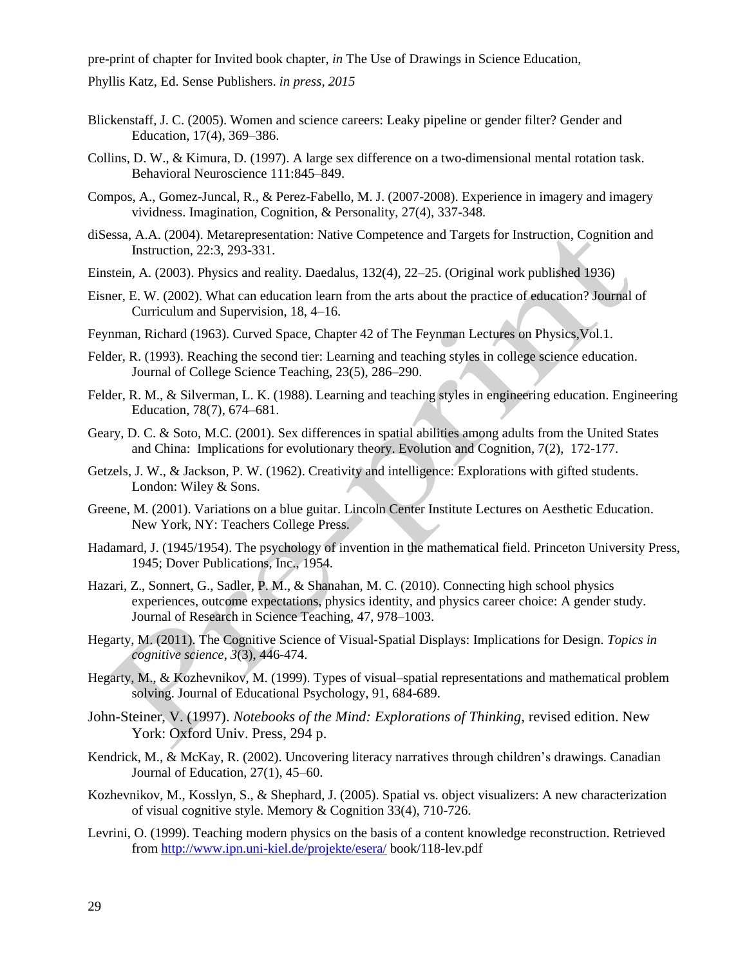Phyllis Katz, Ed. Sense Publishers. *in press, 2015*

- Blickenstaff, J. C. (2005). Women and science careers: Leaky pipeline or gender filter? Gender and Education, 17(4), 369–386.
- Collins, D. W., & Kimura, D. (1997). A large sex difference on a two-dimensional mental rotation task. Behavioral Neuroscience 111:845–849.
- Compos, A., Gomez-Juncal, R., & Perez-Fabello, M. J. (2007-2008). Experience in imagery and imagery vividness. Imagination, Cognition, & Personality, 27(4), 337-348.
- diSessa, A.A. (2004). Metarepresentation: Native Competence and Targets for Instruction, Cognition and Instruction, 22:3, 293-331.
- Einstein, A. (2003). Physics and reality. Daedalus, 132(4), 22–25. (Original work published 1936)
- Eisner, E. W. (2002). What can education learn from the arts about the practice of education? Journal of Curriculum and Supervision, 18, 4–16.
- Feynman, Richard (1963). Curved Space, Chapter 42 of The Feynman Lectures on Physics,Vol.1.
- Felder, R. (1993). Reaching the second tier: Learning and teaching styles in college science education. Journal of College Science Teaching, 23(5), 286–290.
- Felder, R. M., & Silverman, L. K. (1988). Learning and teaching styles in engineering education. Engineering Education, 78(7), 674–681.
- Geary, D. C. & Soto, M.C. (2001). Sex differences in spatial abilities among adults from the United States and China: Implications for evolutionary theory. Evolution and Cognition, 7(2), 172-177.
- Getzels, J. W., & Jackson, P. W. (1962). Creativity and intelligence: Explorations with gifted students. London: Wiley & Sons.
- Greene, M. (2001). Variations on a blue guitar. Lincoln Center Institute Lectures on Aesthetic Education. New York, NY: Teachers College Press.
- Hadamard, J. (1945/1954). The psychology of invention in the mathematical field. Princeton University Press, 1945; Dover Publications, Inc., 1954.
- Hazari, Z., Sonnert, G., Sadler, P. M., & Shanahan, M. C. (2010). Connecting high school physics experiences, outcome expectations, physics identity, and physics career choice: A gender study. Journal of Research in Science Teaching, 47, 978–1003.
- Hegarty, M. (2011). The Cognitive Science of Visual‐Spatial Displays: Implications for Design. *Topics in cognitive science*, *3*(3), 446-474.
- Hegarty, M., & Kozhevnikov, M. (1999). Types of visual–spatial representations and mathematical problem solving. Journal of Educational Psychology, 91, 684-689.
- John-Steiner, V. (1997). *Notebooks of the Mind: Explorations of Thinking*, revised edition. New York: Oxford Univ. Press, 294 p.
- Kendrick, M., & McKay, R. (2002). Uncovering literacy narratives through children's drawings. Canadian Journal of Education, 27(1), 45–60.
- Kozhevnikov, M., Kosslyn, S., & Shephard, J. (2005). Spatial vs. object visualizers: A new characterization of visual cognitive style. Memory & Cognition 33(4), 710-726.
- Levrini, O. (1999). Teaching modern physics on the basis of a content knowledge reconstruction. Retrieved from<http://www.ipn.uni-kiel.de/projekte/esera/> book/118-lev.pdf